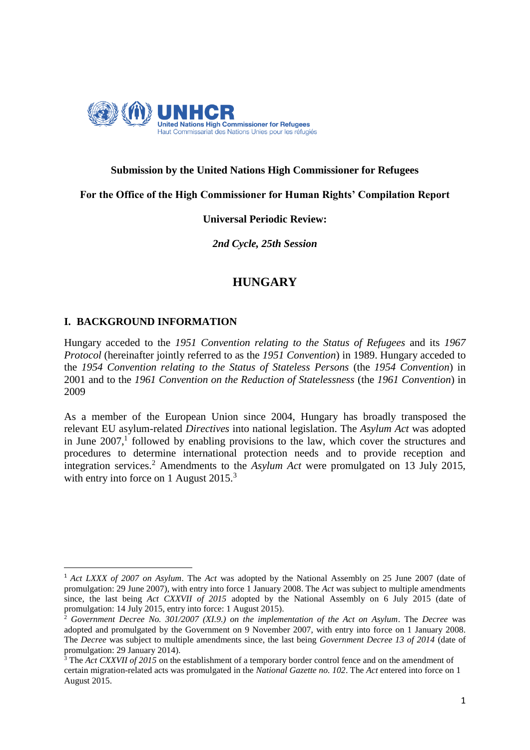

# **Submission by the United Nations High Commissioner for Refugees**

**For the Office of the High Commissioner for Human Rights' Compilation Report**

## **Universal Periodic Review:**

*2nd Cycle, 25th Session*

# **HUNGARY**

# **I. BACKGROUND INFORMATION**

**.** 

Hungary acceded to the *1951 Convention relating to the Status of Refugees* and its *1967 Protocol* (hereinafter jointly referred to as the *1951 Convention*) in 1989. Hungary acceded to the *1954 Convention relating to the Status of Stateless Persons* (the *1954 Convention*) in 2001 and to the *1961 Convention on the Reduction of Statelessness* (the *1961 Convention*) in 2009

As a member of the European Union since 2004, Hungary has broadly transposed the relevant EU asylum-related *Directives* into national legislation. The *Asylum Act* was adopted in June  $2007$ ,<sup>1</sup> followed by enabling provisions to the law, which cover the structures and procedures to determine international protection needs and to provide reception and integration services.<sup>2</sup> Amendments to the *Asylum Act* were promulgated on 13 July 2015, with entry into force on 1 August 2015.<sup>3</sup>

<sup>1</sup> *Act LXXX of 2007 on Asylum*. The *Act* was adopted by the National Assembly on 25 June 2007 (date of promulgation: 29 June 2007), with entry into force 1 January 2008. The *Act* was subject to multiple amendments since, the last being *Act CXXVII of 2015* adopted by the National Assembly on 6 July 2015 (date of promulgation: 14 July 2015, entry into force: 1 August 2015).

<sup>2</sup> *Government Decree No. 301/2007 (XI.9.) on the implementation of the Act on Asylum*. The *Decree* was adopted and promulgated by the Government on 9 November 2007, with entry into force on 1 January 2008. The *Decree* was subject to multiple amendments since, the last being *Government Decree 13 of 2014* (date of promulgation: 29 January 2014).<br> $\frac{3 \text{ The } 4 \times \text{cm}}{2}$ 

<sup>3</sup> The *Act CXXVII of 2015* on the establishment of a temporary border control fence and on the amendment of certain migration-related acts was promulgated in the *National Gazette no. 102*. The *Act* entered into force on 1 August 2015.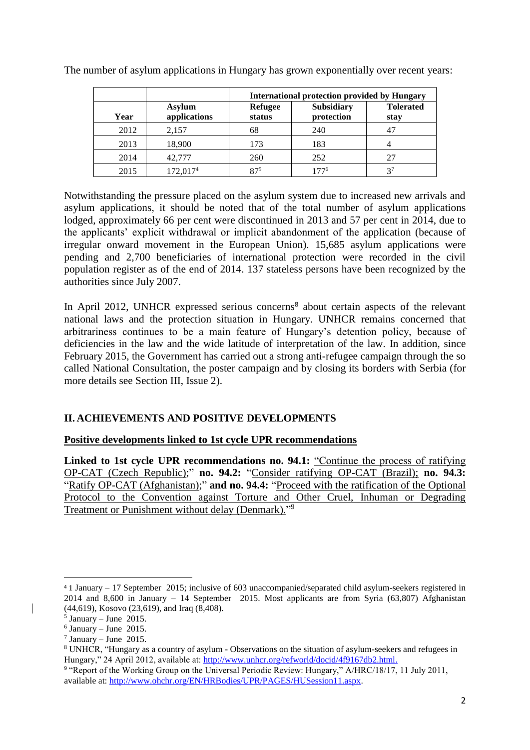|      |                               | <b>International protection provided by Hungary</b> |                                 |                          |
|------|-------------------------------|-----------------------------------------------------|---------------------------------|--------------------------|
| Year | <b>Asylum</b><br>applications | <b>Refugee</b><br>status                            | <b>Subsidiary</b><br>protection | <b>Tolerated</b><br>stay |
| 2012 | 2,157                         | 68                                                  | 240                             | 4 <sup>7</sup>           |
| 2013 | 18,900                        | 173                                                 | 183                             |                          |
| 2014 | 42,777                        | 260                                                 | 252                             | 27                       |
| 2015 | 172,017 <sup>4</sup>          | 875                                                 | 1776                            | $3^7$                    |

The number of asylum applications in Hungary has grown exponentially over recent years:

Notwithstanding the pressure placed on the asylum system due to increased new arrivals and asylum applications, it should be noted that of the total number of asylum applications lodged, approximately 66 per cent were discontinued in 2013 and 57 per cent in 2014, due to the applicants' explicit withdrawal or implicit abandonment of the application (because of irregular onward movement in the European Union). 15,685 asylum applications were pending and 2,700 beneficiaries of international protection were recorded in the civil population register as of the end of 2014. 137 stateless persons have been recognized by the authorities since July 2007.

In April 2012, UNHCR expressed serious concerns<sup>8</sup> about certain aspects of the relevant national laws and the protection situation in Hungary. UNHCR remains concerned that arbitrariness continues to be a main feature of Hungary's detention policy, because of deficiencies in the law and the wide latitude of interpretation of the law. In addition, since February 2015, the Government has carried out a strong anti-refugee campaign through the so called National Consultation, the poster campaign and by closing its borders with Serbia (for more details see Section III, Issue 2).

# **II. ACHIEVEMENTS AND POSITIVE DEVELOPMENTS**

# **Positive developments linked to 1st cycle UPR recommendations**

**Linked to 1st cycle UPR recommendations no. 94.1:** "Continue the process of ratifying OP-CAT (Czech Republic);" **no. 94.2:** "Consider ratifying OP-CAT (Brazil); **no. 94.3:**  "Ratify OP-CAT (Afghanistan);" **and no. 94.4:** "Proceed with the ratification of the Optional Protocol to the Convention against Torture and Other Cruel, Inhuman or Degrading Treatment or Punishment without delay (Denmark)."<sup>9</sup>

**.** 

<sup>4</sup> 1 January – 17 September 2015; inclusive of 603 unaccompanied/separated child asylum-seekers registered in 2014 and 8,600 in January – 14 September 2015. Most applicants are from Syria (63,807) Afghanistan (44,619), Kosovo (23,619), and Iraq (8,408).

<sup>5</sup> January – June 2015.

<sup>6</sup> January – June 2015.

 $7$  January – June 2015.

<sup>8</sup> UNHCR, "Hungary as a country of asylum - Observations on the situation of asylum-seekers and refugees in Hungary," 24 April 2012, available at: http://www.unhcr.org/refworld/docid/4f9167db2.html.

<sup>&</sup>lt;sup>9</sup> "Report of the Working Group on the Universal Periodic Review: Hungary," A/HRC/18/17, 11 July 2011, available at: [http://www.ohchr.org/EN/HRBodies/UPR/PAGES/HUSession11.aspx.](http://www.ohchr.org/EN/HRBodies/UPR/PAGES/HUSession11.aspx)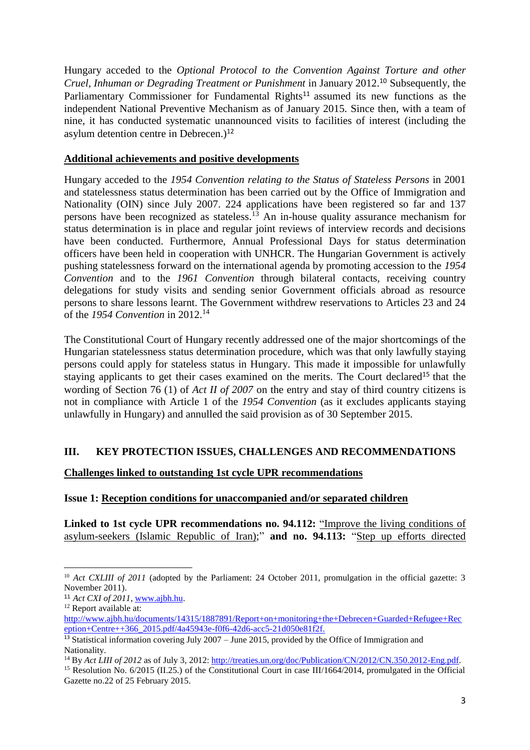Hungary acceded to the *Optional Protocol to the Convention Against Torture and other Cruel, Inhuman or Degrading Treatment or Punishment* in January 2012.<sup>10</sup> Subsequently, the Parliamentary Commissioner for Fundamental Rights<sup>11</sup> assumed its new functions as the independent National Preventive Mechanism as of January 2015. Since then, with a team of nine, it has conducted systematic unannounced visits to facilities of interest (including the asylum detention centre in Debrecen.)<sup>12</sup>

# **Additional achievements and positive developments**

Hungary acceded to the *1954 Convention relating to the Status of Stateless Persons* in 2001 and statelessness status determination has been carried out by the Office of Immigration and Nationality (OIN) since July 2007. 224 applications have been registered so far and 137 persons have been recognized as stateless. <sup>13</sup> An in-house quality assurance mechanism for status determination is in place and regular joint reviews of interview records and decisions have been conducted. Furthermore, Annual Professional Days for status determination officers have been held in cooperation with UNHCR. The Hungarian Government is actively pushing statelessness forward on the international agenda by promoting accession to the *1954 Convention* and to the *1961 Convention* through bilateral contacts, receiving country delegations for study visits and sending senior Government officials abroad as resource persons to share lessons learnt. The Government withdrew reservations to Articles 23 and 24 of the *1954 Convention* in 2012. 14

The Constitutional Court of Hungary recently addressed one of the major shortcomings of the Hungarian statelessness status determination procedure, which was that only lawfully staying persons could apply for stateless status in Hungary. This made it impossible for unlawfully staying applicants to get their cases examined on the merits. The Court declared<sup>15</sup> that the wording of Section 76 (1) of *Act II of 2007* on the entry and stay of third country citizens is not in compliance with Article 1 of the *1954 Convention* (as it excludes applicants staying unlawfully in Hungary) and annulled the said provision as of 30 September 2015.

# **III. KEY PROTECTION ISSUES, CHALLENGES AND RECOMMENDATIONS**

# **Challenges linked to outstanding 1st cycle UPR recommendations**

### **Issue 1: Reception conditions for unaccompanied and/or separated children**

**Linked to 1st cycle UPR recommendations no. 94.112:** "Improve the living conditions of asylum-seekers (Islamic Republic of Iran);" **and no. 94.113:** "Step up efforts directed

**<sup>.</sup>** <sup>10</sup> *Act CXLIII of 2011* (adopted by the Parliament: 24 October 2011, promulgation in the official gazette: 3 November 2011).

<sup>11</sup> *Act CXI of 2011*[, www.ajbh.hu.](http://www.ajbh.hu/)

<sup>&</sup>lt;sup>12</sup> Report available at:

[http://www.ajbh.hu/documents/14315/1887891/Report+on+monitoring+the+Debrecen+Guarded+Refugee+Rec](http://www.ajbh.hu/documents/14315/1887891/Report+on+monitoring+the+Debrecen+Guarded+Refugee+Reception+Centre++366_2015.pdf/4a45943e-f0f6-42d6-acc5-21d050e81f2f) [eption+Centre++366\\_2015.pdf/4a45943e-f0f6-42d6-acc5-21d050e81f2f.](http://www.ajbh.hu/documents/14315/1887891/Report+on+monitoring+the+Debrecen+Guarded+Refugee+Reception+Centre++366_2015.pdf/4a45943e-f0f6-42d6-acc5-21d050e81f2f)

 $13$  Statistical information covering July 2007 – June 2015, provided by the Office of Immigration and Nationality.

<sup>14</sup> By *Act LIII of 2012* as of July 3, 2012: http://treaties.un.org/doc/Publication/CN/2012/CN.350.2012-Eng.pdf.

<sup>&</sup>lt;sup>15</sup> Resolution No. 6/2015 (II.25.) of the Constitutional Court in case III/1664/2014, promulgated in the Official Gazette no.22 of 25 February 2015.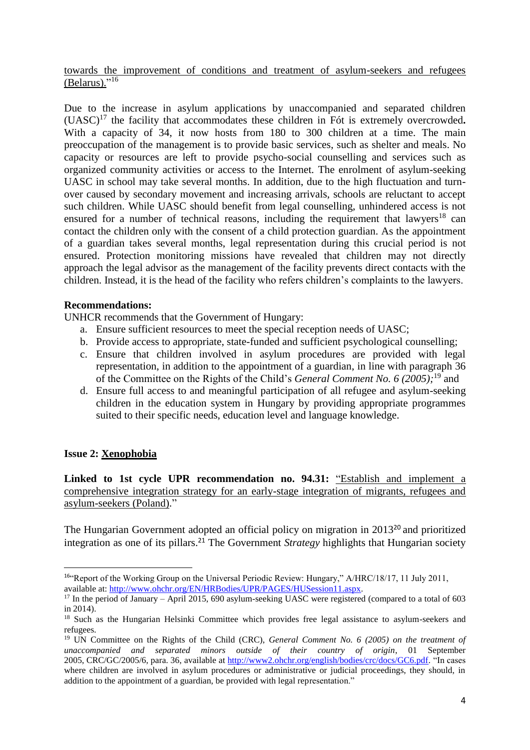towards the improvement of conditions and treatment of asylum-seekers and refugees (Belarus)."<sup>16</sup>

Due to the increase in asylum applications by unaccompanied and separated children (UASC) <sup>17</sup> the facility that accommodates these children in Fót is extremely overcrowded**.** With a capacity of 34, it now hosts from 180 to 300 children at a time. The main preoccupation of the management is to provide basic services, such as shelter and meals. No capacity or resources are left to provide psycho-social counselling and services such as organized community activities or access to the Internet. The enrolment of asylum-seeking UASC in school may take several months. In addition, due to the high fluctuation and turnover caused by secondary movement and increasing arrivals, schools are reluctant to accept such children. While UASC should benefit from legal counselling, unhindered access is not ensured for a number of technical reasons, including the requirement that lawyers<sup>18</sup> can contact the children only with the consent of a child protection guardian. As the appointment of a guardian takes several months, legal representation during this crucial period is not ensured. Protection monitoring missions have revealed that children may not directly approach the legal advisor as the management of the facility prevents direct contacts with the children. Instead, it is the head of the facility who refers children's complaints to the lawyers.

### **Recommendations:**

UNHCR recommends that the Government of Hungary:

- a. Ensure sufficient resources to meet the special reception needs of UASC;
- b. Provide access to appropriate, state-funded and sufficient psychological counselling;
- c. Ensure that children involved in asylum procedures are provided with legal representation, in addition to the appointment of a guardian, in line with paragraph 36 of the Committee on the Rights of the Child's *General Comment No. 6 (2005);* <sup>19</sup> and
- d. Ensure full access to and meaningful participation of all refugee and asylum-seeking children in the education system in Hungary by providing appropriate programmes suited to their specific needs, education level and language knowledge.

# **Issue 2: Xenophobia**

**.** 

**Linked to 1st cycle UPR recommendation no. 94.31:** "Establish and implement a comprehensive integration strategy for an early-stage integration of migrants, refugees and asylum-seekers (Poland)."

The Hungarian Government adopted an official policy on migration in 2013<sup>20</sup> and prioritized integration as one of its pillars.<sup>21</sup> The Government *Strategy* highlights that Hungarian society

<sup>16</sup>"Report of the Working Group on the Universal Periodic Review: Hungary," A/HRC/18/17, 11 July 2011, available at: [http://www.ohchr.org/EN/HRBodies/UPR/PAGES/HUSession11.aspx.](http://www.ohchr.org/EN/HRBodies/UPR/PAGES/HUSession11.aspx)

<sup>&</sup>lt;sup>17</sup> In the period of January – April 2015, 690 asylum-seeking UASC were registered (compared to a total of 603 in 2014).

<sup>&</sup>lt;sup>18</sup> Such as the Hungarian Helsinki Committee which provides free legal assistance to asylum-seekers and refugees.

<sup>19</sup> UN Committee on the Rights of the Child (CRC), *General Comment No. 6 (2005) on the treatment of unaccompanied and separated minors outside of their country of origin*, 01 September 2005, CRC/GC/2005/6, para. 36, available at [http://www2.ohchr.org/english/bodies/crc/docs/GC6.pdf.](http://www2.ohchr.org/english/bodies/crc/docs/GC6.pdf) "In cases where children are involved in asylum procedures or administrative or judicial proceedings, they should, in addition to the appointment of a guardian, be provided with legal representation."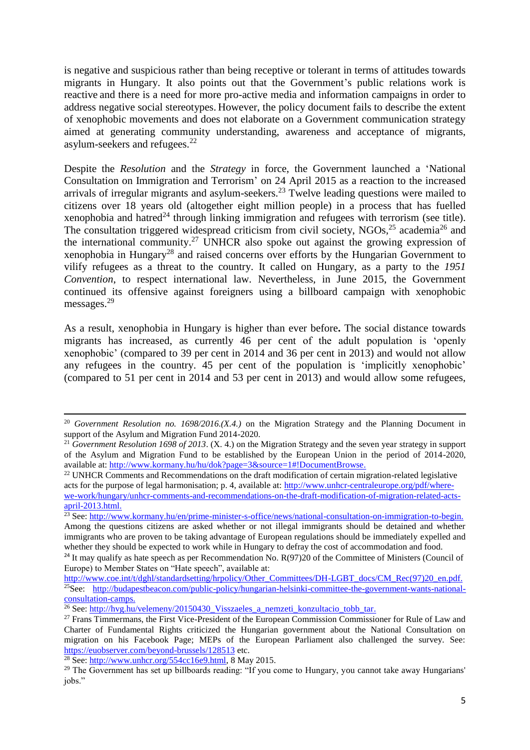is negative and suspicious rather than being receptive or tolerant in terms of attitudes towards migrants in Hungary. It also points out that the Government's public relations work is reactive and there is a need for more pro-active media and information campaigns in order to address negative social stereotypes. However, the policy document fails to describe the extent of xenophobic movements and does not elaborate on a Government communication strategy aimed at generating community understanding, awareness and acceptance of migrants, asylum-seekers and refugees.<sup>22</sup>

Despite the *Resolution* and the *Strategy* in force, the Government launched a 'National Consultation on Immigration and Terrorism' on 24 April 2015 as a reaction to the increased arrivals of irregular migrants and asylum-seekers.<sup>23</sup> Twelve leading questions were mailed to citizens over 18 years old (altogether eight million people) in a process that has fuelled xenophobia and hatred<sup>24</sup> through linking immigration and refugees with terrorism (see title). The consultation triggered widespread criticism from civil society,  $NGOs<sup>25</sup>$  academia<sup>26</sup> and the international community.<sup>27</sup> UNHCR also spoke out against the growing expression of xenophobia in Hungary<sup>28</sup> and raised concerns over efforts by the Hungarian Government to vilify refugees as a threat to the country. It called on Hungary, as a party to the *1951 Convention*, to respect international law. Nevertheless, in June 2015, the Government continued its offensive against foreigners using a billboard campaign with xenophobic messages. 29

As a result, xenophobia in Hungary is higher than ever before**.** The social distance towards migrants has increased, as currently 46 per cent of the adult population is 'openly xenophobic' (compared to 39 per cent in 2014 and 36 per cent in 2013) and would not allow any refugees in the country. 45 per cent of the population is 'implicitly xenophobic' (compared to 51 per cent in 2014 and 53 per cent in 2013) and would allow some refugees,

**.** 

<sup>20</sup> *Government Resolution no. 1698/2016.(X.4.)* on the Migration Strategy and the Planning Document in support of the Asylum and Migration Fund 2014-2020.

<sup>&</sup>lt;sup>21</sup> *Government Resolution 1698 of 2013*. (X. 4.) on the Migration Strategy and the seven year strategy in support of the Asylum and Migration Fund to be established by the European Union in the period of 2014-2020, available at: [http://www.kormany.hu/hu/dok?page=3&source=1#!DocumentBrowse.](http://www.kormany.hu/hu/dok?page=3&source=1#!DocumentBrowse)

<sup>&</sup>lt;sup>22</sup> UNHCR Comments and Recommendations on the draft modification of certain migration-related legislative acts for the purpose of legal harmonisation; p. 4, available at: [http://www.unhcr-centraleurope.org/pdf/where](http://www.unhcr-centraleurope.org/pdf/where-we-work/hungary/unhcr-comments-and-recommendations-on-the-draft-modification-of-migration-related-acts-april-2013.html)[we-work/hungary/unhcr-comments-and-recommendations-on-the-draft-modification-of-migration-related-acts](http://www.unhcr-centraleurope.org/pdf/where-we-work/hungary/unhcr-comments-and-recommendations-on-the-draft-modification-of-migration-related-acts-april-2013.html)[april-2013.html.](http://www.unhcr-centraleurope.org/pdf/where-we-work/hungary/unhcr-comments-and-recommendations-on-the-draft-modification-of-migration-related-acts-april-2013.html)

<sup>&</sup>lt;sup>23</sup> See: http://www.kormany.hu/en/prime-minister-s-office/news/national-consultation-on-immigration-to-begin. Among the questions citizens are asked whether or not illegal immigrants should be detained and whether immigrants who are proven to be taking advantage of European regulations should be immediately expelled and whether they should be expected to work while in Hungary to defray the cost of accommodation and food.

<sup>&</sup>lt;sup>24</sup> It may qualify as hate speech as per Recommendation No.  $R(97)20$  of the Committee of Ministers (Council of Europe) to Member States on "Hate speech", available at:

[http://www.coe.int/t/dghl/standardsetting/hrpolicy/Other\\_Committees/DH-LGBT\\_docs/CM\\_Rec\(97\)20\\_en.pdf.](http://www.coe.int/t/dghl/standardsetting/hrpolicy/Other_Committees/DH-LGBT_docs/CM_Rec(97)20_en.pdf) <sup>25</sup>See: [http://budapestbeacon.com/public-policy/hungarian-helsinki-committee-the-government-wants-national](http://budapestbeacon.com/public-policy/hungarian-helsinki-committee-the-government-wants-national-consultation-camps)[consultation-camps.](http://budapestbeacon.com/public-policy/hungarian-helsinki-committee-the-government-wants-national-consultation-camps)

<sup>&</sup>lt;sup>26</sup> See[: http://hvg.hu/velemeny/20150430\\_Visszaeles\\_a\\_nemzeti\\_konzultacio\\_tobb\\_tar.](http://hvg.hu/velemeny/20150430_Visszaeles_a_nemzeti_konzultacio_tobb_tar)

<sup>&</sup>lt;sup>27</sup> Frans Timmermans, the First Vice-President of the European Commission Commissioner for Rule of Law and Charter of Fundamental Rights criticized the Hungarian government about the National Consultation on migration on his Facebook Page; MEPs of the European Parliament also challenged the survey. See: <https://euobserver.com/beyond-brussels/128513> etc.

 $\frac{28}{28}$  See[: http://www.unhcr.org/554cc16e9.html,](http://www.unhcr.org/554cc16e9.html) 8 May 2015.

<sup>&</sup>lt;sup>29</sup> The Government has set up billboards reading: "If you come to Hungary, you cannot take away Hungarians' jobs."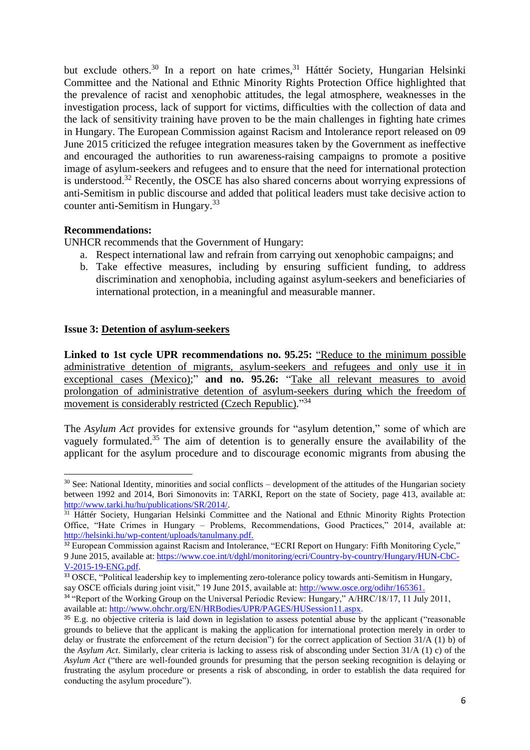but exclude others.<sup>30</sup> In a report on hate crimes,<sup>31</sup> Háttér Society, Hungarian Helsinki Committee and the National and Ethnic Minority Rights Protection Office highlighted that the prevalence of racist and xenophobic attitudes, the legal atmosphere, weaknesses in the investigation process, lack of support for victims, difficulties with the collection of data and the lack of sensitivity training have proven to be the main challenges in fighting hate crimes in Hungary. The European Commission against Racism and Intolerance report released on 09 June 2015 criticized the refugee integration measures taken by the Government as ineffective and encouraged the authorities to run awareness-raising campaigns to promote a positive image of asylum-seekers and refugees and to ensure that the need for international protection is understood.<sup>32</sup> Recently, the OSCE has also shared concerns about worrying expressions of anti-Semitism in public discourse and added that political leaders must take decisive action to counter anti-Semitism in Hungary.<sup>33</sup>

## **Recommendations:**

UNHCR recommends that the Government of Hungary:

- a. Respect international law and refrain from carrying out xenophobic campaigns; and
- b. Take effective measures, including by ensuring sufficient funding, to address discrimination and xenophobia, including against asylum-seekers and beneficiaries of international protection, in a meaningful and measurable manner.

# **Issue 3: Detention of asylum-seekers**

**Linked to 1st cycle UPR recommendations no. 95.25:** "Reduce to the minimum possible administrative detention of migrants, asylum-seekers and refugees and only use it in exceptional cases (Mexico);" **and no. 95.26:** "Take all relevant measures to avoid prolongation of administrative detention of asylum-seekers during which the freedom of movement is considerably restricted (Czech Republic)."34

The *Asylum Act* provides for extensive grounds for "asylum detention," some of which are vaguely formulated.<sup>35</sup> The aim of detention is to generally ensure the availability of the applicant for the asylum procedure and to discourage economic migrants from abusing the

**<sup>.</sup>**  $30$  See: National Identity, minorities and social conflicts – development of the attitudes of the Hungarian society between 1992 and 2014, Bori Simonovits in: TARKI, Report on the state of Society, page 413, available at: [http://www.tarki.hu/hu/publications/SR/2014/.](http://www.tarki.hu/hu/publications/SR/2014/)

<sup>&</sup>lt;sup>31</sup> Háttér Society, Hungarian Helsinki Committee and the National and Ethnic Minority Rights Protection Office, "Hate Crimes in Hungary – Problems, Recommendations, Good Practices," 2014, available at: [http://helsinki.hu/wp-content/uploads/tanulmany.pdf.](http://helsinki.hu/wp-content/uploads/tanulmany.pdf) 

<sup>&</sup>lt;sup>32</sup> European Commission against Racism and Intolerance, "ECRI Report on Hungary: Fifth Monitoring Cycle," 9 June 2015, available at: [https://www.coe.int/t/dghl/monitoring/ecri/Country-by-country/Hungary/HUN-CbC-](https://www.coe.int/t/dghl/monitoring/ecri/Country-by-country/Hungary/HUN-CbC-V-2015-19-ENG.pdf)[V-2015-19-ENG.pdf.](https://www.coe.int/t/dghl/monitoring/ecri/Country-by-country/Hungary/HUN-CbC-V-2015-19-ENG.pdf)

<sup>&</sup>lt;sup>33</sup> OSCE, "Political leadership key to implementing zero-tolerance policy towards anti-Semitism in Hungary, say OSCE officials during joint visit," 19 June 2015, available at: [http://www.osce.org/odihr/165361.](http://www.osce.org/odihr/165361)

<sup>&</sup>lt;sup>34</sup> "Report of the Working Group on the Universal Periodic Review: Hungary," A/HRC/18/17, 11 July 2011, available at: [http://www.ohchr.org/EN/HRBodies/UPR/PAGES/HUSession11.aspx.](http://www.ohchr.org/EN/HRBodies/UPR/PAGES/HUSession11.aspx)

<sup>&</sup>lt;sup>35</sup> E.g. no objective criteria is laid down in legislation to assess potential abuse by the applicant ("reasonable") grounds to believe that the applicant is making the application for international protection merely in order to delay or frustrate the enforcement of the return decision") for the correct application of Section 31/A (1) b) of the *Asylum Act*. Similarly, clear criteria is lacking to assess risk of absconding under Section 31/A (1) c) of the *Asylum Act* ("there are well-founded grounds for presuming that the person seeking recognition is delaying or frustrating the asylum procedure or presents a risk of absconding, in order to establish the data required for conducting the asylum procedure").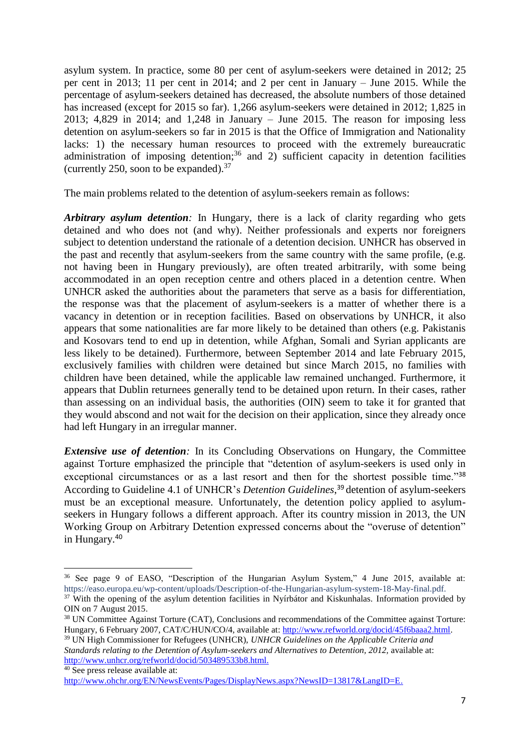asylum system. In practice, some 80 per cent of asylum-seekers were detained in 2012; 25 per cent in 2013; 11 per cent in 2014; and 2 per cent in January – June 2015. While the percentage of asylum-seekers detained has decreased, the absolute numbers of those detained has increased (except for 2015 so far). 1,266 asylum-seekers were detained in 2012; 1,825 in 2013; 4,829 in 2014; and 1,248 in January – June 2015. The reason for imposing less detention on asylum-seekers so far in 2015 is that the Office of Immigration and Nationality lacks: 1) the necessary human resources to proceed with the extremely bureaucratic administration of imposing detention;<sup>36</sup> and 2) sufficient capacity in detention facilities (currently 250, soon to be expanded).  $37$ 

The main problems related to the detention of asylum-seekers remain as follows:

*Arbitrary asylum detention*: In Hungary, there is a lack of clarity regarding who gets detained and who does not (and why). Neither professionals and experts nor foreigners subject to detention understand the rationale of a detention decision. UNHCR has observed in the past and recently that asylum-seekers from the same country with the same profile, (e.g. not having been in Hungary previously), are often treated arbitrarily, with some being accommodated in an open reception centre and others placed in a detention centre. When UNHCR asked the authorities about the parameters that serve as a basis for differentiation, the response was that the placement of asylum-seekers is a matter of whether there is a vacancy in detention or in reception facilities. Based on observations by UNHCR, it also appears that some nationalities are far more likely to be detained than others (e.g. Pakistanis and Kosovars tend to end up in detention, while Afghan, Somali and Syrian applicants are less likely to be detained). Furthermore, between September 2014 and late February 2015, exclusively families with children were detained but since March 2015, no families with children have been detained, while the applicable law remained unchanged. Furthermore, it appears that Dublin returnees generally tend to be detained upon return. In their cases, rather than assessing on an individual basis, the authorities (OIN) seem to take it for granted that they would abscond and not wait for the decision on their application, since they already once had left Hungary in an irregular manner.

*Extensive use of detention*: In its Concluding Observations on Hungary, the Committee against Torture emphasized the principle that "detention of asylum-seekers is used only in exceptional circumstances or as a last resort and then for the shortest possible time."<sup>38</sup> According to Guideline 4.1 of UNHCR's *Detention Guidelines*, <sup>39</sup> detention of asylum-seekers must be an exceptional measure. Unfortunately, the detention policy applied to asylumseekers in Hungary follows a different approach. After its country mission in 2013, the UN Working Group on Arbitrary Detention expressed concerns about the "overuse of detention" in Hungary. 40

**.** 

<sup>&</sup>lt;sup>36</sup> See page 9 of EASO, "Description of the Hungarian Asylum System," 4 June 2015, available at: [https://easo.europa.eu/wp-content/uploads/Description-of-the-Hungarian-asylum-system-18-May-final.pdf.](https://easo.europa.eu/wp-content/uploads/Description-of-the-Hungarian-asylum-system-18-May-final.pdf) <sup>37</sup> With the opening of the asylum detention facilities in Nyírbátor and Kiskunhalas. Information provided by

OIN on 7 August 2015.

<sup>38</sup> UN Committee Against Torture (CAT), Conclusions and recommendations of the Committee against Torture: Hungary, 6 February 2007, CAT/C/HUN/CO/4, available at[: http://www.refworld.org/docid/45f6baaa2.html.](http://www.refworld.org/docid/45f6baaa2.html)

<sup>39</sup> UN High Commissioner for Refugees (UNHCR), *UNHCR Guidelines on the Applicable Criteria and Standards relating to the Detention of Asylum-seekers and Alternatives to Detention, 2012, available at:* [http://www.unhcr.org/refworld/docid/503489533b8.html.](http://www.unhcr.org/refworld/docid/503489533b8.html) <sup>40</sup> See press release available at:

[http://www.ohchr.org/EN/NewsEvents/Pages/DisplayNews.aspx?NewsID=13817&LangID=E.](http://www.ohchr.org/EN/NewsEvents/Pages/DisplayNews.aspx?NewsID=13817&LangID=E)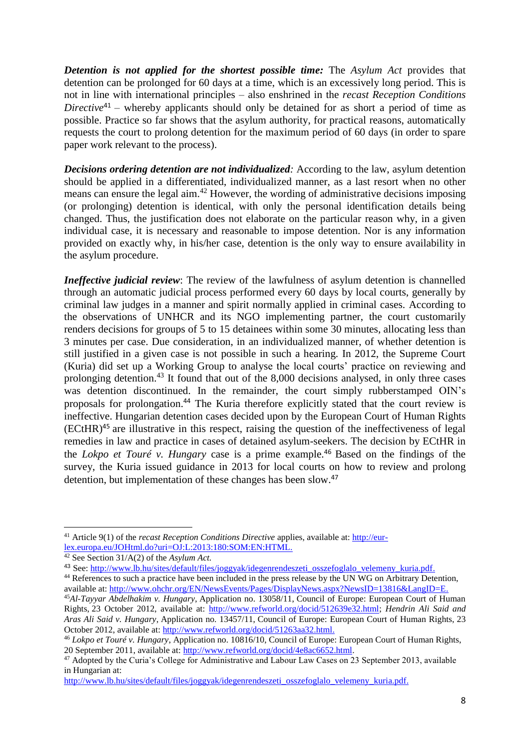*Detention is not applied for the shortest possible time:* The *Asylum Act* provides that detention can be prolonged for 60 days at a time, which is an excessively long period. This is not in line with international principles – also enshrined in the *recast Reception Conditions Directive*<sup>41</sup> – whereby applicants should only be detained for as short a period of time as possible. Practice so far shows that the asylum authority, for practical reasons, automatically requests the court to prolong detention for the maximum period of 60 days (in order to spare paper work relevant to the process).

*Decisions ordering detention are not individualized:* According to the law, asylum detention should be applied in a differentiated, individualized manner, as a last resort when no other means can ensure the legal aim.<sup>42</sup> However, the wording of administrative decisions imposing (or prolonging) detention is identical, with only the personal identification details being changed. Thus, the justification does not elaborate on the particular reason why, in a given individual case, it is necessary and reasonable to impose detention. Nor is any information provided on exactly why, in his/her case, detention is the only way to ensure availability in the asylum procedure.

*Ineffective judicial review*: The review of the lawfulness of asylum detention is channelled through an automatic judicial process performed every 60 days by local courts, generally by criminal law judges in a manner and spirit normally applied in criminal cases. According to the observations of UNHCR and its NGO implementing partner, the court customarily renders decisions for groups of 5 to 15 detainees within some 30 minutes, allocating less than 3 minutes per case. Due consideration, in an individualized manner, of whether detention is still justified in a given case is not possible in such a hearing. In 2012, the Supreme Court (Kuria) did set up a Working Group to analyse the local courts' practice on reviewing and prolonging detention.<sup>43</sup> It found that out of the 8,000 decisions analysed, in only three cases was detention discontinued. In the remainder, the court simply rubberstamped OIN's proposals for prolongation. <sup>44</sup> The Kuria therefore explicitly stated that the court review is ineffective. Hungarian detention cases decided upon by the European Court of Human Rights (ECtHR)<sup>45</sup> are illustrative in this respect, raising the question of the ineffectiveness of legal remedies in law and practice in cases of detained asylum-seekers. The decision by ECtHR in the *Lokpo et Touré v. Hungary* case is a prime example.<sup>46</sup> Based on the findings of the survey, the Kuria issued guidance in 2013 for local courts on how to review and prolong detention, but implementation of these changes has been slow.<sup>47</sup>

**.** 

<sup>41</sup> Article 9(1) of the *recast Reception Conditions Directive* applies, available at: http://eurlex.europa.eu/JOHtml.do?uri=OJ:L:2013:180:SOM:EN:HTML.

<sup>42</sup> See Section 31/A(2) of the *Asylum Act.*

<sup>43</sup> See[: http://www.lb.hu/sites/default/files/joggyak/idegenrendeszeti\\_osszefoglalo\\_velemeny\\_kuria.pdf.](http://www.lb.hu/sites/default/files/joggyak/idegenrendeszeti_osszefoglalo_velemeny_kuria.pdf)

<sup>&</sup>lt;sup>44</sup> References to such a practice have been included in the press release by the UN WG on Arbitrary Detention, available at: [http://www.ohchr.org/EN/NewsEvents/Pages/DisplayNews.aspx?NewsID=13816&LangID=E.](http://www.ohchr.org/EN/NewsEvents/Pages/DisplayNews.aspx?NewsID=13816&LangID=E)

<sup>45</sup>*Al-Tayyar Abdelhakim v. Hungary*, Application no. 13058/11, Council of Europe: European Court of Human Rights, 23 October 2012, available at: [http://www.refworld.org/docid/512639e32.html;](http://www.refworld.org/docid/512639e32.html) *Hendrin Ali Said and Aras Ali Said v. Hungary*, Application no. 13457/11, Council of Europe: European Court of Human Rights, 23 October 2012, available at: [http://www.refworld.org/docid/51263aa32.html.](http://www.refworld.org/docid/51263aa32.html)

<sup>46</sup> *Lokpo et Touré v. Hungary*, Application no. 10816/10, Council of Europe: European Court of Human Rights, 20 September 2011, available at: [http://www.refworld.org/docid/4e8ac6652.html.](http://www.refworld.org/docid/4e8ac6652.html)

<sup>&</sup>lt;sup>47</sup> Adopted by the Curia's College for Administrative and Labour Law Cases on 23 September 2013, available in Hungarian at:

[http://www.lb.hu/sites/default/files/joggyak/idegenrendeszeti\\_osszefoglalo\\_velemeny\\_kuria.pdf.](http://www.lb.hu/sites/default/files/joggyak/idegenrendeszeti_osszefoglalo_velemeny_kuria.pdf)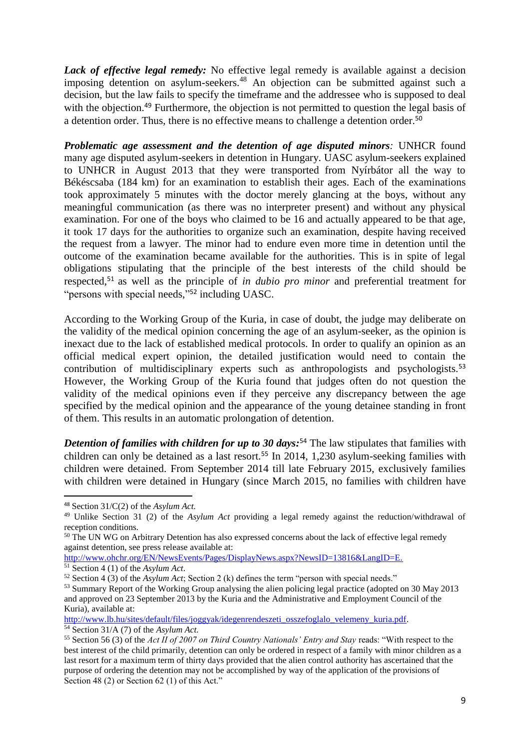*Lack of effective legal remedy:* No effective legal remedy is available against a decision imposing detention on asylum-seekers. <sup>48</sup> An objection can be submitted against such a decision, but the law fails to specify the timeframe and the addressee who is supposed to deal with the objection.<sup>49</sup> Furthermore, the objection is not permitted to question the legal basis of a detention order. Thus, there is no effective means to challenge a detention order.<sup>50</sup>

*Problematic age assessment and the detention of age disputed minors:* UNHCR found many age disputed asylum-seekers in detention in Hungary. UASC asylum-seekers explained to UNHCR in August 2013 that they were transported from Nyírbátor all the way to Békéscsaba (184 km) for an examination to establish their ages. Each of the examinations took approximately 5 minutes with the doctor merely glancing at the boys, without any meaningful communication (as there was no interpreter present) and without any physical examination. For one of the boys who claimed to be 16 and actually appeared to be that age, it took 17 days for the authorities to organize such an examination, despite having received the request from a lawyer. The minor had to endure even more time in detention until the outcome of the examination became available for the authorities. This is in spite of legal obligations stipulating that the principle of the best interests of the child should be respected, <sup>51</sup> as well as the principle of *in dubio pro minor* and preferential treatment for "persons with special needs,"<sup>52</sup> including UASC.

According to the Working Group of the Kuria, in case of doubt, the judge may deliberate on the validity of the medical opinion concerning the age of an asylum-seeker, as the opinion is inexact due to the lack of established medical protocols. In order to qualify an opinion as an official medical expert opinion, the detailed justification would need to contain the contribution of multidisciplinary experts such as anthropologists and psychologists.<sup>53</sup> However, the Working Group of the Kuria found that judges often do not question the validity of the medical opinions even if they perceive any discrepancy between the age specified by the medical opinion and the appearance of the young detainee standing in front of them. This results in an automatic prolongation of detention.

*Detention of families with children for up to 30 days:* <sup>54</sup> The law stipulates that families with children can only be detained as a last resort.<sup>55</sup> In 2014, 1,230 asylum-seeking families with children were detained. From September 2014 till late February 2015, exclusively families with children were detained in Hungary (since March 2015, no families with children have

1

<sup>48</sup> Section 31/C(2) of the *Asylum Act.*

<sup>49</sup> Unlike Section 31 (2) of the *Asylum Act* providing a legal remedy against the reduction/withdrawal of reception conditions.

<sup>&</sup>lt;sup>50</sup> The UN WG on Arbitrary Detention has also expressed concerns about the lack of effective legal remedy against detention, see press release available at:

http://www.ohchr.org/EN/NewsEvents/Pages/DisplayNews.aspx?NewsID=13816&LangID=E.

<sup>51</sup> Section 4 (1) of the *Asylum Act*.

<sup>52</sup> Section 4 (3) of the *Asylum Act*; Section 2 (k) defines the term "person with special needs."

<sup>&</sup>lt;sup>53</sup> Summary Report of the Working Group analysing the alien policing legal practice (adopted on 30 May 2013 and approved on 23 September 2013 by the Kuria and the Administrative and Employment Council of the Kuria), available at:

[http://www.lb.hu/sites/default/files/joggyak/idegenrendeszeti\\_osszefoglalo\\_velemeny\\_kuria.pdf.](http://www.lb.hu/sites/default/files/joggyak/idegenrendeszeti_osszefoglalo_velemeny_kuria.pdf)

<sup>54</sup> Section 31/A (7) of the *Asylum Act.*

<sup>55</sup> Section 56 (3) of the *Act II of 2007 on Third Country Nationals' Entry and Stay* reads: "With respect to the best interest of the child primarily, detention can only be ordered in respect of a family with minor children as a last resort for a maximum term of thirty days provided that the alien control authority has ascertained that the purpose of ordering the detention may not be accomplished by way of the application of the provisions of Section 48 (2) or Section 62 (1) of this Act."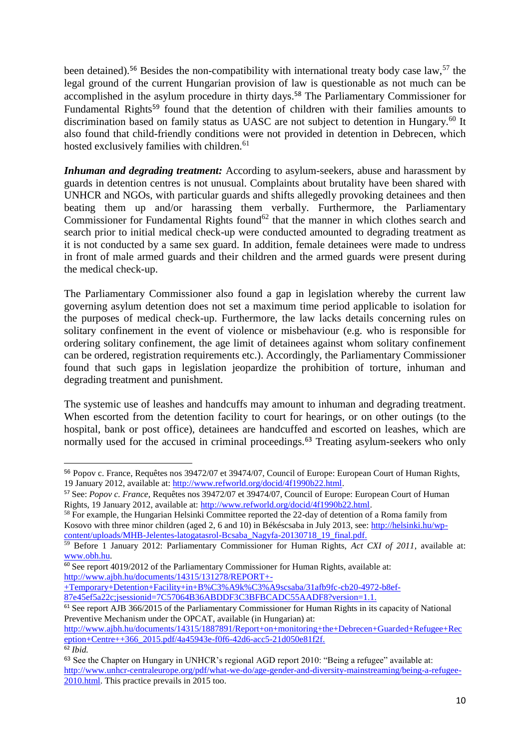been detained).<sup>56</sup> Besides the non-compatibility with international treaty body case law,<sup>57</sup> the legal ground of the current Hungarian provision of law is questionable as not much can be accomplished in the asylum procedure in thirty days. <sup>58</sup> The Parliamentary Commissioner for Fundamental Rights<sup>59</sup> found that the detention of children with their families amounts to discrimination based on family status as UASC are not subject to detention in Hungary.<sup>60</sup> It also found that child-friendly conditions were not provided in detention in Debrecen, which hosted exclusively families with children.<sup>61</sup>

*Inhuman and degrading treatment:* According to asylum-seekers, abuse and harassment by guards in detention centres is not unusual. Complaints about brutality have been shared with UNHCR and NGOs, with particular guards and shifts allegedly provoking detainees and then beating them up and/or harassing them verbally. Furthermore, the Parliamentary Commissioner for Fundamental Rights found<sup>62</sup> that the manner in which clothes search and search prior to initial medical check-up were conducted amounted to degrading treatment as it is not conducted by a same sex guard. In addition, female detainees were made to undress in front of male armed guards and their children and the armed guards were present during the medical check-up.

The Parliamentary Commissioner also found a gap in legislation whereby the current law governing asylum detention does not set a maximum time period applicable to isolation for the purposes of medical check-up. Furthermore, the law lacks details concerning rules on solitary confinement in the event of violence or misbehaviour (e.g. who is responsible for ordering solitary confinement, the age limit of detainees against whom solitary confinement can be ordered, registration requirements etc.). Accordingly, the Parliamentary Commissioner found that such gaps in legislation jeopardize the prohibition of torture, inhuman and degrading treatment and punishment.

The systemic use of leashes and handcuffs may amount to inhuman and degrading treatment. When escorted from the detention facility to court for hearings, or on other outings (to the hospital, bank or post office), detainees are handcuffed and escorted on leashes, which are normally used for the accused in criminal proceedings.<sup>63</sup> Treating asylum-seekers who only

<sup>1</sup> <sup>56</sup> Popov c. France, Requêtes nos 39472/07 et 39474/07, Council of Europe: European Court of Human Rights, 19 January 2012, available at: [http://www.refworld.org/docid/4f1990b22.html.](http://www.refworld.org/docid/4f1990b22.html) 

<sup>57</sup> See: *Popov c. France*, Requêtes nos 39472/07 et 39474/07, Council of Europe: European Court of Human Rights, 19 January 2012, available at: [http://www.refworld.org/docid/4f1990b22.html.](http://www.refworld.org/docid/4f1990b22.html)

<sup>&</sup>lt;sup>58</sup> For example, the Hungarian Helsinki Committee reported the 22-day of detention of a Roma family from Kosovo with three minor children (aged 2, 6 and 10) in Békéscsaba in July 2013, see: [http://helsinki.hu/wp](http://helsinki.hu/wp-content/uploads/MHB-Jelentes-latogatasrol-Bcsaba_Nagyfa-20130718_19_final.pdf)[content/uploads/MHB-Jelentes-latogatasrol-Bcsaba\\_Nagyfa-20130718\\_19\\_final.pdf.](http://helsinki.hu/wp-content/uploads/MHB-Jelentes-latogatasrol-Bcsaba_Nagyfa-20130718_19_final.pdf)

<sup>59</sup> Before 1 January 2012: Parliamentary Commissioner for Human Rights, *Act CXI of 2011*, available at: [www.obh.hu.](http://www.obh.hu/)

 $60$  See report 4019/2012 of the Parliamentary Commissioner for Human Rights, available at: [http://www.ajbh.hu/documents/14315/131278/REPORT+-](http://www.ajbh.hu/documents/14315/131278/REPORT+-+Temporary+Detention+Facility+in+B%C3%A9k%C3%A9scsaba/31afb9fc-cb20-4972-b8ef-87e45ef5a22c;jsessionid=7C57064B36ABDDF3C3BFBCADC55AADF8?version=1.1)

[<sup>+</sup>Temporary+Detention+Facility+in+B%C3%A9k%C3%A9scsaba/31afb9fc-cb20-4972-b8ef-](http://www.ajbh.hu/documents/14315/131278/REPORT+-+Temporary+Detention+Facility+in+B%C3%A9k%C3%A9scsaba/31afb9fc-cb20-4972-b8ef-87e45ef5a22c;jsessionid=7C57064B36ABDDF3C3BFBCADC55AADF8?version=1.1)[87e45ef5a22c;jsessionid=7C57064B36ABDDF3C3BFBCADC55AADF8?version=1.1.](http://www.ajbh.hu/documents/14315/131278/REPORT+-+Temporary+Detention+Facility+in+B%C3%A9k%C3%A9scsaba/31afb9fc-cb20-4972-b8ef-87e45ef5a22c;jsessionid=7C57064B36ABDDF3C3BFBCADC55AADF8?version=1.1)

<sup>&</sup>lt;sup>61</sup> See report AJB 366/2015 of the Parliamentary Commissioner for Human Rights in its capacity of National Preventive Mechanism under the OPCAT, available (in Hungarian) at:

[http://www.ajbh.hu/documents/14315/1887891/Report+on+monitoring+the+Debrecen+Guarded+Refugee+Rec](http://www.ajbh.hu/documents/14315/1887891/Report+on+monitoring+the+Debrecen+Guarded+Refugee+Reception+Centre++366_2015.pdf/4a45943e-f0f6-42d6-acc5-21d050e81f2f) [eption+Centre++366\\_2015.pdf/4a45943e-f0f6-42d6-acc5-21d050e81f2f.](http://www.ajbh.hu/documents/14315/1887891/Report+on+monitoring+the+Debrecen+Guarded+Refugee+Reception+Centre++366_2015.pdf/4a45943e-f0f6-42d6-acc5-21d050e81f2f) <sup>62</sup> *Ibid.*

<sup>63</sup> See the Chapter on Hungary in UNHCR's regional AGD report 2010: "Being a refugee" available at: [http://www.unhcr-centraleurope.org/pdf/what-we-do/age-gender-and-diversity-mainstreaming/being-a-refugee-](http://www.unhcr-centraleurope.org/pdf/what-we-do/age-gender-and-diversity-mainstreaming/being-a-refugee-2010.html)[2010.html.](http://www.unhcr-centraleurope.org/pdf/what-we-do/age-gender-and-diversity-mainstreaming/being-a-refugee-2010.html) This practice prevails in 2015 too.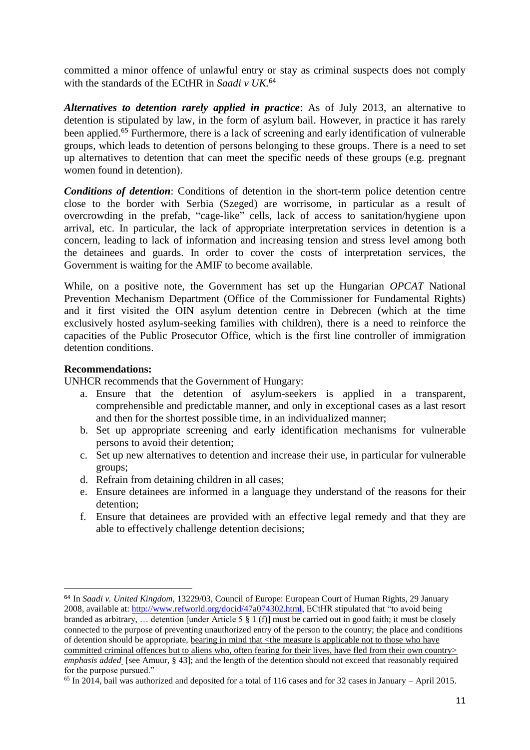committed a minor offence of unlawful entry or stay as criminal suspects does not comply with the standards of the ECtHR in *Saadi v UK.* 64

*Alternatives to detention rarely applied in practice*: As of July 2013, an alternative to detention is stipulated by law, in the form of asylum bail. However, in practice it has rarely been applied.<sup>65</sup> Furthermore, there is a lack of screening and early identification of vulnerable groups, which leads to detention of persons belonging to these groups. There is a need to set up alternatives to detention that can meet the specific needs of these groups (e.g. pregnant women found in detention).

*Conditions of detention*: Conditions of detention in the short-term police detention centre close to the border with Serbia (Szeged) are worrisome, in particular as a result of overcrowding in the prefab, "cage-like" cells, lack of access to sanitation/hygiene upon arrival, etc. In particular, the lack of appropriate interpretation services in detention is a concern, leading to lack of information and increasing tension and stress level among both the detainees and guards. In order to cover the costs of interpretation services, the Government is waiting for the AMIF to become available.

While, on a positive note, the Government has set up the Hungarian *OPCAT* National Prevention Mechanism Department (Office of the Commissioner for Fundamental Rights) and it first visited the OIN asylum detention centre in Debrecen (which at the time exclusively hosted asylum-seeking families with children), there is a need to reinforce the capacities of the Public Prosecutor Office, which is the first line controller of immigration detention conditions.

### **Recommendations:**

UNHCR recommends that the Government of Hungary:

- a. Ensure that the detention of asylum-seekers is applied in a transparent, comprehensible and predictable manner, and only in exceptional cases as a last resort and then for the shortest possible time, in an individualized manner;
- b. Set up appropriate screening and early identification mechanisms for vulnerable persons to avoid their detention;
- c. Set up new alternatives to detention and increase their use, in particular for vulnerable groups;
- d. Refrain from detaining children in all cases;
- e. Ensure detainees are informed in a language they understand of the reasons for their detention;
- f. Ensure that detainees are provided with an effective legal remedy and that they are able to effectively challenge detention decisions;

<sup>1</sup> <sup>64</sup> In *Saadi v. United Kingdom,* 13229/03, Council of Europe: European Court of Human Rights, 29 January 2008, available at: [http://www.refworld.org/docid/47a074302.html,](http://www.refworld.org/docid/47a074302.html) ECtHR stipulated that "to avoid being branded as arbitrary, … detention [under Article 5 § 1 (f)] must be carried out in good faith; it must be closely connected to the purpose of preventing unauthorized entry of the person to the country; the place and conditions of detention should be appropriate, bearing in mind that <the measure is applicable not to those who have committed criminal offences but to aliens who, often fearing for their lives, have fled from their own country> *emphasis added* [see Amuur, § 43]; and the length of the detention should not exceed that reasonably required for the purpose pursued."

<sup>65</sup> In 2014, bail was authorized and deposited for a total of 116 cases and for 32 cases in January – April 2015.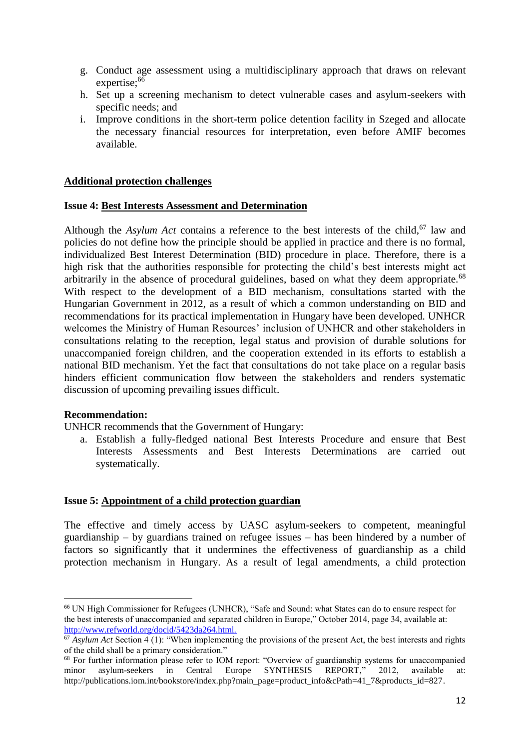- g. Conduct age assessment using a multidisciplinary approach that draws on relevant expertise;<sup>66</sup>
- h. Set up a screening mechanism to detect vulnerable cases and asylum-seekers with specific needs; and
- i. Improve conditions in the short-term police detention facility in Szeged and allocate the necessary financial resources for interpretation, even before AMIF becomes available.

### **Additional protection challenges**

### **Issue 4: Best Interests Assessment and Determination**

Although the *Asylum Act* contains a reference to the best interests of the child, <sup>67</sup> law and policies do not define how the principle should be applied in practice and there is no formal, individualized Best Interest Determination (BID) procedure in place. Therefore, there is a high risk that the authorities responsible for protecting the child's best interests might act arbitrarily in the absence of procedural guidelines, based on what they deem appropriate.<sup>68</sup> With respect to the development of a BID mechanism, consultations started with the Hungarian Government in 2012, as a result of which a common understanding on BID and recommendations for its practical implementation in Hungary have been developed. UNHCR welcomes the Ministry of Human Resources' inclusion of UNHCR and other stakeholders in consultations relating to the reception, legal status and provision of durable solutions for unaccompanied foreign children, and the cooperation extended in its efforts to establish a national BID mechanism. Yet the fact that consultations do not take place on a regular basis hinders efficient communication flow between the stakeholders and renders systematic discussion of upcoming prevailing issues difficult.

### **Recommendation:**

**.** 

UNHCR recommends that the Government of Hungary:

a. Establish a fully-fledged national Best Interests Procedure and ensure that Best Interests Assessments and Best Interests Determinations are carried out systematically.

### **Issue 5: Appointment of a child protection guardian**

The effective and timely access by UASC asylum-seekers to competent, meaningful guardianship – by guardians trained on refugee issues – has been hindered by a number of factors so significantly that it undermines the effectiveness of guardianship as a child protection mechanism in Hungary. As a result of legal amendments, a child protection

<sup>66</sup> UN High Commissioner for Refugees (UNHCR), "Safe and Sound: what States can do to ensure respect for the best interests of unaccompanied and separated children in Europe," October 2014, page 34, available at: <http://www.refworld.org/docid/5423da264.html.>

 $\frac{67}{67}$  *Asylum Act* Section 4 (1): "When implementing the provisions of the present Act, the best interests and rights of the child shall be a primary consideration."

<sup>&</sup>lt;sup>68</sup> For further information please refer to IOM report: "Overview of guardianship systems for unaccompanied minor asylum-seekers in Central Europe SYNTHESIS REPORT." 2012. available at: minor asylum-seekers in Central Europe SYNTHESIS REPORT," 2012, available at: [http://publications.iom.int/bookstore/index.php?main\\_page=product\\_info&cPath=41\\_7&products\\_id=827.](http://publications.iom.int/bookstore/index.php?main_page=product_info&cPath=41_7&products_id=827)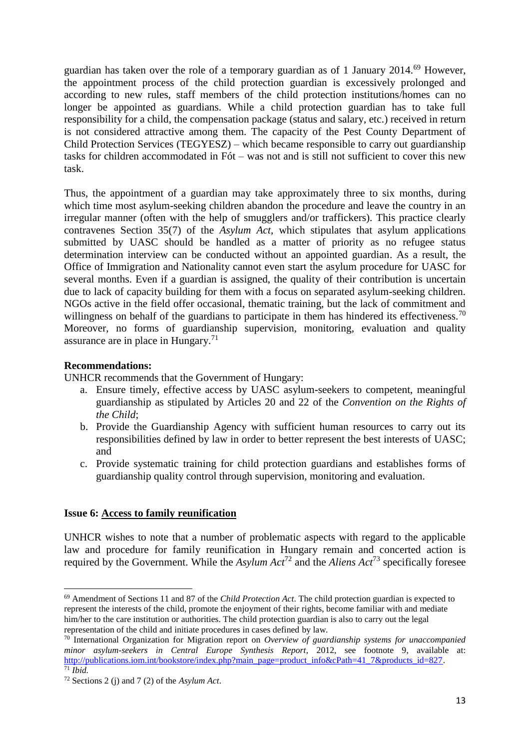guardian has taken over the role of a temporary guardian as of 1 January 2014.<sup>69</sup> However, the appointment process of the child protection guardian is excessively prolonged and according to new rules, staff members of the child protection institutions/homes can no longer be appointed as guardians. While a child protection guardian has to take full responsibility for a child, the compensation package (status and salary, etc.) received in return is not considered attractive among them. The capacity of the Pest County Department of Child Protection Services (TEGYESZ) – which became responsible to carry out guardianship tasks for children accommodated in Fót – was not and is still not sufficient to cover this new task.

Thus, the appointment of a guardian may take approximately three to six months, during which time most asylum-seeking children abandon the procedure and leave the country in an irregular manner (often with the help of smugglers and/or traffickers). This practice clearly contravenes Section 35(7) of the *Asylum Act*, which stipulates that asylum applications submitted by UASC should be handled as a matter of priority as no refugee status determination interview can be conducted without an appointed guardian. As a result, the Office of Immigration and Nationality cannot even start the asylum procedure for UASC for several months. Even if a guardian is assigned, the quality of their contribution is uncertain due to lack of capacity building for them with a focus on separated asylum-seeking children. NGOs active in the field offer occasional, thematic training, but the lack of commitment and willingness on behalf of the guardians to participate in them has hindered its effectiveness.<sup>70</sup> Moreover, no forms of guardianship supervision, monitoring, evaluation and quality assurance are in place in Hungary. $71$ 

## **Recommendations:**

 $\overline{a}$ 

UNHCR recommends that the Government of Hungary:

- a. Ensure timely, effective access by UASC asylum-seekers to competent, meaningful guardianship as stipulated by Articles 20 and 22 of the *Convention on the Rights of the Child*;
- b. Provide the Guardianship Agency with sufficient human resources to carry out its responsibilities defined by law in order to better represent the best interests of UASC; and
- c. Provide systematic training for child protection guardians and establishes forms of guardianship quality control through supervision, monitoring and evaluation.

### **Issue 6: Access to family reunification**

UNHCR wishes to note that a number of problematic aspects with regard to the applicable law and procedure for family reunification in Hungary remain and concerted action is required by the Government. While the *Asylum Act*<sup>72</sup> and the *Aliens Act*<sup>73</sup> specifically foresee

<sup>69</sup> Amendment of Sections 11 and 87 of the *Child Protection Act*. The child protection guardian is expected to represent the interests of the child, promote the enjoyment of their rights, become familiar with and mediate him/her to the care institution or authorities. The child protection guardian is also to carry out the legal representation of the child and initiate procedures in cases defined by law.

<sup>70</sup> International Organization for Migration report on *Overview of guardianship systems for unaccompanied minor asylum-seekers in Central Europe Synthesis Report*, 2012, see footnote 9, available at: [http://publications.iom.int/bookstore/index.php?main\\_page=product\\_info&cPath=41\\_7&products\\_id=827.](http://publications.iom.int/bookstore/index.php?main_page=product_info&cPath=41_7&products_id=827)  $\overline{71}$  *Ibid.* 

<sup>72</sup> Sections 2 (j) and 7 (2) of the *Asylum Act*.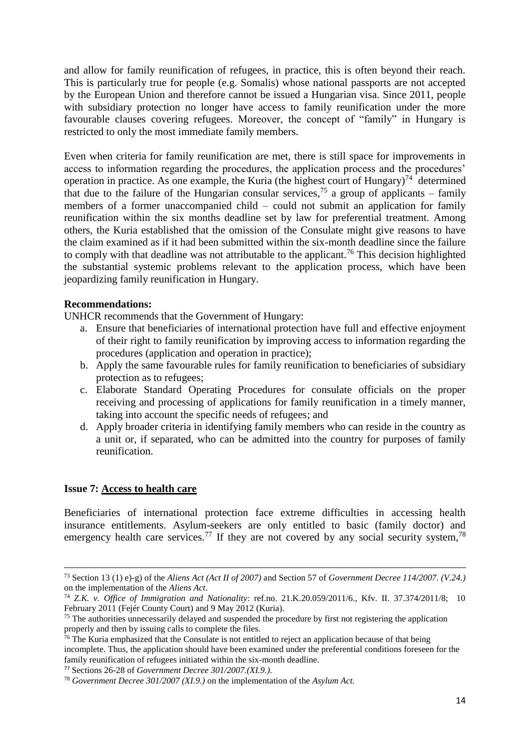and allow for family reunification of refugees, in practice, this is often beyond their reach. This is particularly true for people (e.g. Somalis) whose national passports are not accepted by the European Union and therefore cannot be issued a Hungarian visa. Since 2011, people with subsidiary protection no longer have access to family reunification under the more favourable clauses covering refugees. Moreover, the concept of "family" in Hungary is restricted to only the most immediate family members.

Even when criteria for family reunification are met, there is still space for improvements in access to information regarding the procedures, the application process and the procedures' operation in practice. As one example, the Kuria (the highest court of Hungary)<sup>74</sup> determined that due to the failure of the Hungarian consular services,<sup>75</sup> a group of applicants – family members of a former unaccompanied child – could not submit an application for family reunification within the six months deadline set by law for preferential treatment. Among others, the Kuria established that the omission of the Consulate might give reasons to have the claim examined as if it had been submitted within the six-month deadline since the failure to comply with that deadline was not attributable to the applicant.<sup>76</sup> This decision highlighted the substantial systemic problems relevant to the application process, which have been jeopardizing family reunification in Hungary.

### **Recommendations:**

UNHCR recommends that the Government of Hungary:

- a. Ensure that beneficiaries of international protection have full and effective enjoyment of their right to family reunification by improving access to information regarding the procedures (application and operation in practice);
- b. Apply the same favourable rules for family reunification to beneficiaries of subsidiary protection as to refugees;
- c. Elaborate Standard Operating Procedures for consulate officials on the proper receiving and processing of applications for family reunification in a timely manner, taking into account the specific needs of refugees; and
- d. Apply broader criteria in identifying family members who can reside in the country as a unit or, if separated, who can be admitted into the country for purposes of family reunification.

### **Issue 7: Access to health care**

**.** 

Beneficiaries of international protection face extreme difficulties in accessing health insurance entitlements. Asylum-seekers are only entitled to basic (family doctor) and emergency health care services.<sup>77</sup> If they are not covered by any social security system,<sup>78</sup>

<sup>73</sup> Section 13 (1) e)-g) of the *Aliens Act (Act II of 2007)* and Section 57 of *Government Decree 114/2007. (V.24.)* on the implementation of the *Aliens Act*.

<sup>74</sup> *Z.K. v. Office of Immigration and Nationality*: ref.no. 21.K.20.059/2011/6., Kfv. II. 37.374/2011/8; 10 February 2011 (Fejér County Court) and 9 May 2012 (Kuria).

<sup>&</sup>lt;sup>75</sup> The authorities unnecessarily delayed and suspended the procedure by first not registering the application properly and then by issuing calls to complete the files.

 $76$  The Kuria emphasized that the Consulate is not entitled to reject an application because of that being incomplete. Thus, the application should have been examined under the preferential conditions foreseen for the family reunification of refugees initiated within the six-month deadline.

<sup>77</sup> Sections 26-28 of *Government Decree 301/2007.(XI.9.).*

<sup>78</sup> *Government Decree 301/2007 (XI.9.)* on the implementation of the *Asylum Act.*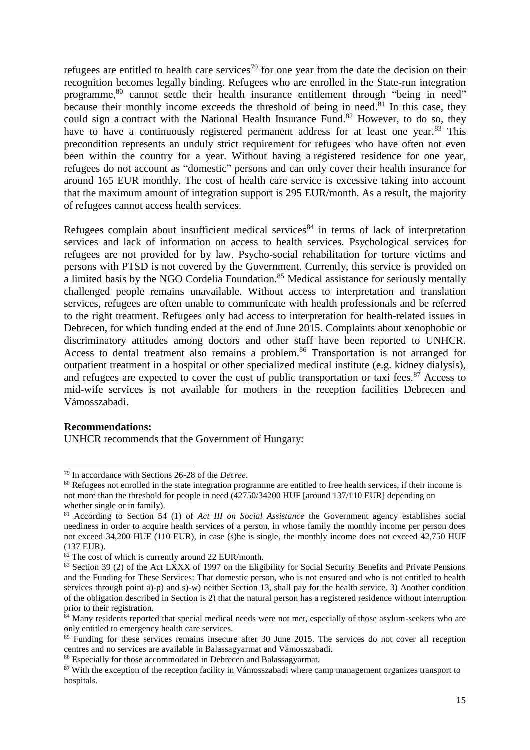refugees are entitled to health care services<sup>79</sup> for one year from the date the decision on their recognition becomes legally binding. Refugees who are enrolled in the State-run integration programme,<sup>80</sup> cannot settle their health insurance entitlement through "being in need" because their monthly income exceeds the threshold of being in need.<sup>81</sup> In this case, they could sign a contract with the National Health Insurance Fund.<sup>82</sup> However, to do so, they have to have a continuously registered permanent address for at least one year.<sup>83</sup> This precondition represents an unduly strict requirement for refugees who have often not even been within the country for a year. Without having a registered residence for one year, refugees do not account as "domestic" persons and can only cover their health insurance for around 165 EUR monthly. The cost of health care service is excessive taking into account that the maximum amount of integration support is 295 EUR/month. As a result, the majority of refugees cannot access health services.

Refugees complain about insufficient medical services<sup>84</sup> in terms of lack of interpretation services and lack of information on access to health services. Psychological services for refugees are not provided for by law. Psycho-social rehabilitation for torture victims and persons with PTSD is not covered by the Government. Currently, this service is provided on a limited basis by the NGO Cordelia Foundation.<sup>85</sup> Medical assistance for seriously mentally challenged people remains unavailable. Without access to interpretation and translation services, refugees are often unable to communicate with health professionals and be referred to the right treatment. Refugees only had access to interpretation for health-related issues in Debrecen, for which funding ended at the end of June 2015. Complaints about xenophobic or discriminatory attitudes among doctors and other staff have been reported to UNHCR. Access to dental treatment also remains a problem. <sup>86</sup> Transportation is not arranged for outpatient treatment in a hospital or other specialized medical institute (e.g. kidney dialysis), and refugees are expected to cover the cost of public transportation or taxi fees.<sup>87</sup> Access to mid-wife services is not available for mothers in the reception facilities Debrecen and Vámosszabadi.

### **Recommendations:**

1

UNHCR recommends that the Government of Hungary:

<sup>79</sup> In accordance with Sections 26-28 of the *Decree*.

<sup>&</sup>lt;sup>80</sup> Refugees not enrolled in the state integration programme are entitled to free health services, if their income is not more than the threshold for people in need (42750/34200 HUF [around 137/110 EUR] depending on whether single or in family).

<sup>81</sup> According to Section 54 (1) of *Act III on Social Assistance* the Government agency establishes social neediness in order to acquire health services of a person, in whose family the monthly income per person does not exceed 34,200 HUF (110 EUR), in case (s)he is single, the monthly income does not exceed 42,750 HUF (137 EUR).

<sup>&</sup>lt;sup>82</sup> The cost of which is currently around 22 EUR/month.

<sup>83</sup> Section 39 (2) of the Act LXXX of 1997 on the Eligibility for Social Security Benefits and Private Pensions and the Funding for These Services: That domestic person, who is not ensured and who is not entitled to health services through point a)-p) and s)-w) neither Section 13, shall pay for the health service. 3) Another condition of the obligation described in Section is 2) that the natural person has a registered residence without interruption prior to their registration.

<sup>&</sup>lt;sup>84</sup> Many residents reported that special medical needs were not met, especially of those asylum-seekers who are only entitled to emergency health care services.

<sup>&</sup>lt;sup>85</sup> Funding for these services remains insecure after 30 June 2015. The services do not cover all reception centres and no services are available in Balassagyarmat and Vámosszabadi.

<sup>&</sup>lt;sup>86</sup> Especially for those accommodated in Debrecen and Balassagyarmat.

<sup>&</sup>lt;sup>87</sup> With the exception of the reception facility in Vámosszabadi where camp management organizes transport to hospitals.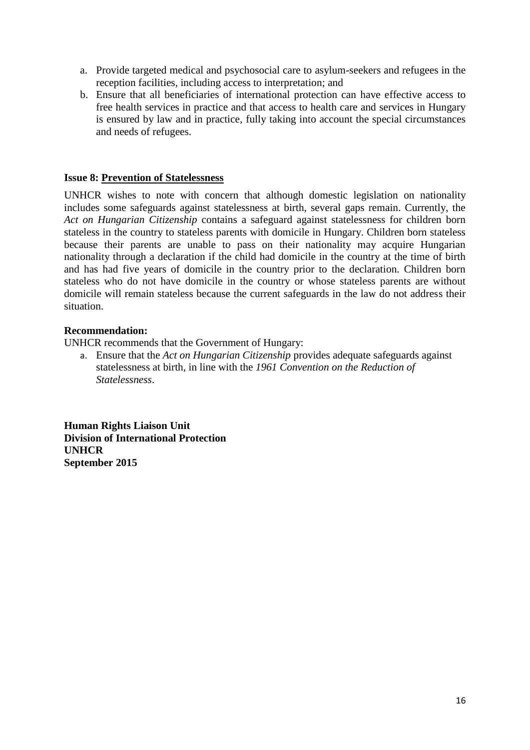- a. Provide targeted medical and psychosocial care to asylum-seekers and refugees in the reception facilities, including access to interpretation; and
- b. Ensure that all beneficiaries of international protection can have effective access to free health services in practice and that access to health care and services in Hungary is ensured by law and in practice, fully taking into account the special circumstances and needs of refugees.

## **Issue 8: Prevention of Statelessness**

UNHCR wishes to note with concern that although domestic legislation on nationality includes some safeguards against statelessness at birth, several gaps remain. Currently, the *Act on Hungarian Citizenship* contains a safeguard against statelessness for children born stateless in the country to stateless parents with domicile in Hungary. Children born stateless because their parents are unable to pass on their nationality may acquire Hungarian nationality through a declaration if the child had domicile in the country at the time of birth and has had five years of domicile in the country prior to the declaration. Children born stateless who do not have domicile in the country or whose stateless parents are without domicile will remain stateless because the current safeguards in the law do not address their situation.

## **Recommendation:**

UNHCR recommends that the Government of Hungary:

a. Ensure that the *Act on Hungarian Citizenship* provides adequate safeguards against statelessness at birth, in line with the *1961 Convention on the Reduction of Statelessness*.

**Human Rights Liaison Unit Division of International Protection UNHCR September 2015**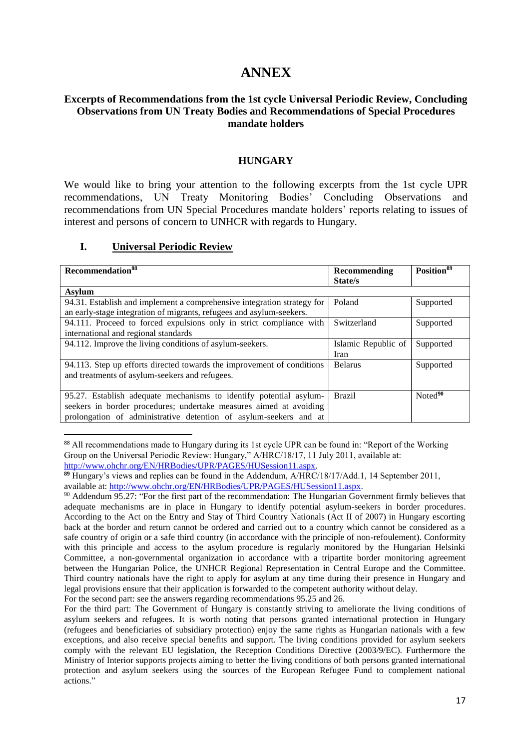# **ANNEX**

## **Excerpts of Recommendations from the 1st cycle Universal Periodic Review, Concluding Observations from UN Treaty Bodies and Recommendations of Special Procedures mandate holders**

### **HUNGARY**

We would like to bring your attention to the following excerpts from the 1st cycle UPR recommendations, UN Treaty Monitoring Bodies' Concluding Observations and recommendations from UN Special Procedures mandate holders' reports relating to issues of interest and persons of concern to UNHCR with regards to Hungary.

### **I. Universal Periodic Review**

1

| Recommendation <sup>88</sup>                                            | Recommending        | Position <sup>89</sup> |
|-------------------------------------------------------------------------|---------------------|------------------------|
|                                                                         | State/s             |                        |
| <b>Asylum</b>                                                           |                     |                        |
| 94.31. Establish and implement a comprehensive integration strategy for | Poland              | Supported              |
| an early-stage integration of migrants, refugees and asylum-seekers.    |                     |                        |
| 94.111. Proceed to forced expulsions only in strict compliance with     | Switzerland         | Supported              |
| international and regional standards                                    |                     |                        |
| 94.112. Improve the living conditions of asylum-seekers.                | Islamic Republic of | Supported              |
|                                                                         | Iran                |                        |
| 94.113. Step up efforts directed towards the improvement of conditions  | <b>Belarus</b>      | Supported              |
| and treatments of asylum-seekers and refugees.                          |                     |                        |
|                                                                         |                     |                        |
| 95.27. Establish adequate mechanisms to identify potential asylum-      | <b>Brazil</b>       | Noted <sup>90</sup>    |
| seekers in border procedures; undertake measures aimed at avoiding      |                     |                        |
| prolongation of administrative detention of asylum-seekers and at       |                     |                        |

<sup>88</sup> All recommendations made to Hungary during its 1st cycle UPR can be found in: "Report of the Working Group on the Universal Periodic Review: Hungary," A/HRC/18/17, 11 July 2011, available at:

For the second part: see the answers regarding recommendations 95.25 and 26.

[http://www.ohchr.org/EN/HRBodies/UPR/PAGES/HUSession11.aspx.](http://www.ohchr.org/EN/HRBodies/UPR/PAGES/HUSession11.aspx)

**<sup>89</sup>** Hungary's views and replies can be found in the Addendum, A/HRC/18/17/Add.1, 14 September 2011, available at: [http://www.ohchr.org/EN/HRBodies/UPR/PAGES/HUSession11.aspx.](http://www.ohchr.org/EN/HRBodies/UPR/PAGES/HUSession11.aspx)

<sup>90</sup> Addendum 95.27: "For the first part of the recommendation: The Hungarian Government firmly believes that adequate mechanisms are in place in Hungary to identify potential asylum-seekers in border procedures. According to the Act on the Entry and Stay of Third Country Nationals (Act II of 2007) in Hungary escorting back at the border and return cannot be ordered and carried out to a country which cannot be considered as a safe country of origin or a safe third country (in accordance with the principle of non-refoulement). Conformity with this principle and access to the asylum procedure is regularly monitored by the Hungarian Helsinki Committee, a non-governmental organization in accordance with a tripartite border monitoring agreement between the Hungarian Police, the UNHCR Regional Representation in Central Europe and the Committee. Third country nationals have the right to apply for asylum at any time during their presence in Hungary and legal provisions ensure that their application is forwarded to the competent authority without delay.

For the third part: The Government of Hungary is constantly striving to ameliorate the living conditions of asylum seekers and refugees. It is worth noting that persons granted international protection in Hungary (refugees and beneficiaries of subsidiary protection) enjoy the same rights as Hungarian nationals with a few exceptions, and also receive special benefits and support. The living conditions provided for asylum seekers comply with the relevant EU legislation, the Reception Conditions Directive (2003/9/EC). Furthermore the Ministry of Interior supports projects aiming to better the living conditions of both persons granted international protection and asylum seekers using the sources of the European Refugee Fund to complement national actions."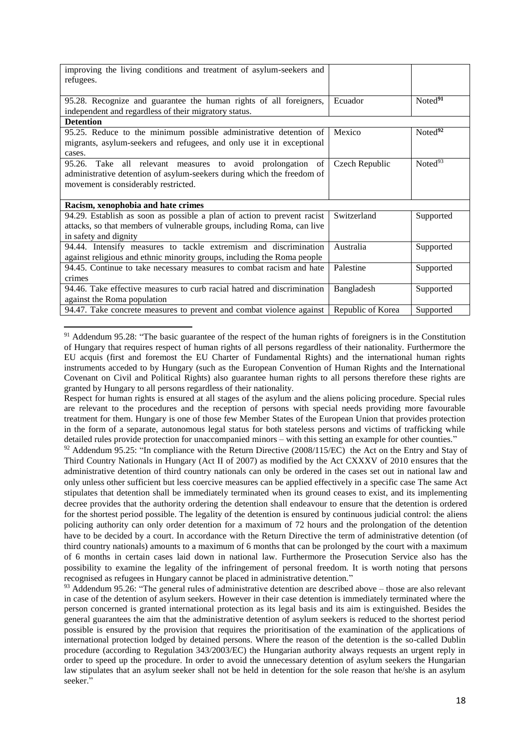| improving the living conditions and treatment of asylum-seekers and     |                   |                     |
|-------------------------------------------------------------------------|-------------------|---------------------|
| refugees.                                                               |                   |                     |
|                                                                         |                   |                     |
| 95.28. Recognize and guarantee the human rights of all foreigners,      | Ecuador           | Noted <sup>91</sup> |
| independent and regardless of their migratory status.                   |                   |                     |
| <b>Detention</b>                                                        |                   |                     |
| 95.25. Reduce to the minimum possible administrative detention of       | Mexico            | Noted $92$          |
| migrants, asylum-seekers and refugees, and only use it in exceptional   |                   |                     |
| cases.                                                                  |                   |                     |
| 95.26.<br>Take all relevant measures to avoid prolongation of           | Czech Republic    | Noted <sup>93</sup> |
| administrative detention of asylum-seekers during which the freedom of  |                   |                     |
| movement is considerably restricted.                                    |                   |                     |
|                                                                         |                   |                     |
| Racism, xenophobia and hate crimes                                      |                   |                     |
| 94.29. Establish as soon as possible a plan of action to prevent racist | Switzerland       | Supported           |
| attacks, so that members of vulnerable groups, including Roma, can live |                   |                     |
| in safety and dignity                                                   |                   |                     |
| 94.44. Intensify measures to tackle extremism and discrimination        | Australia         | Supported           |
| against religious and ethnic minority groups, including the Roma people |                   |                     |
| 94.45. Continue to take necessary measures to combat racism and hate    | Palestine         | Supported           |
| crimes                                                                  |                   |                     |
| 94.46. Take effective measures to curb racial hatred and discrimination | Bangladesh        | Supported           |
| against the Roma population                                             |                   |                     |
| 94.47. Take concrete measures to prevent and combat violence against    | Republic of Korea | Supported           |

<sup>&</sup>lt;sup>91</sup> Addendum 95.28: "The basic guarantee of the respect of the human rights of foreigners is in the Constitution of Hungary that requires respect of human rights of all persons regardless of their nationality. Furthermore the EU acquis (first and foremost the EU Charter of Fundamental Rights) and the international human rights instruments acceded to by Hungary (such as the European Convention of Human Rights and the International Covenant on Civil and Political Rights) also guarantee human rights to all persons therefore these rights are granted by Hungary to all persons regardless of their nationality.

**.** 

Respect for human rights is ensured at all stages of the asylum and the aliens policing procedure. Special rules are relevant to the procedures and the reception of persons with special needs providing more favourable treatment for them. Hungary is one of those few Member States of the European Union that provides protection in the form of a separate, autonomous legal status for both stateless persons and victims of trafficking while detailed rules provide protection for unaccompanied minors – with this setting an example for other counties."

<sup>92</sup> Addendum 95.25: "In compliance with the Return Directive (2008/115/EC) the Act on the Entry and Stay of Third Country Nationals in Hungary (Act II of 2007) as modified by the Act CXXXV of 2010 ensures that the administrative detention of third country nationals can only be ordered in the cases set out in national law and only unless other sufficient but less coercive measures can be applied effectively in a specific case The same Act stipulates that detention shall be immediately terminated when its ground ceases to exist, and its implementing decree provides that the authority ordering the detention shall endeavour to ensure that the detention is ordered for the shortest period possible. The legality of the detention is ensured by continuous judicial control: the aliens policing authority can only order detention for a maximum of 72 hours and the prolongation of the detention have to be decided by a court. In accordance with the Return Directive the term of administrative detention (of third country nationals) amounts to a maximum of 6 months that can be prolonged by the court with a maximum of 6 months in certain cases laid down in national law. Furthermore the Prosecution Service also has the possibility to examine the legality of the infringement of personal freedom. It is worth noting that persons recognised as refugees in Hungary cannot be placed in administrative detention."

 $93$  Addendum 95.26: "The general rules of administrative detention are described above – those are also relevant in case of the detention of asylum seekers. However in their case detention is immediately terminated where the person concerned is granted international protection as its legal basis and its aim is extinguished. Besides the general guarantees the aim that the administrative detention of asylum seekers is reduced to the shortest period possible is ensured by the provision that requires the prioritisation of the examination of the applications of international protection lodged by detained persons. Where the reason of the detention is the so-called Dublin procedure (according to Regulation 343/2003/EC) the Hungarian authority always requests an urgent reply in order to speed up the procedure. In order to avoid the unnecessary detention of asylum seekers the Hungarian law stipulates that an asylum seeker shall not be held in detention for the sole reason that he/she is an asylum seeker."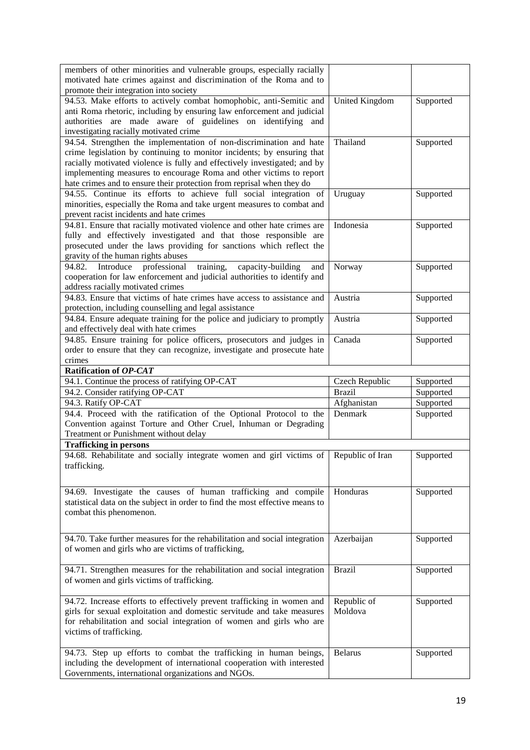| members of other minorities and vulnerable groups, especially racially<br>motivated hate crimes against and discrimination of the Roma and to<br>promote their integration into society                                                                                                                                                                                    |                        |           |
|----------------------------------------------------------------------------------------------------------------------------------------------------------------------------------------------------------------------------------------------------------------------------------------------------------------------------------------------------------------------------|------------------------|-----------|
| 94.53. Make efforts to actively combat homophobic, anti-Semitic and<br>anti Roma rhetoric, including by ensuring law enforcement and judicial<br>authorities are made aware of guidelines on identifying and<br>investigating racially motivated crime                                                                                                                     | United Kingdom         | Supported |
| 94.54. Strengthen the implementation of non-discrimination and hate<br>crime legislation by continuing to monitor incidents; by ensuring that<br>racially motivated violence is fully and effectively investigated; and by<br>implementing measures to encourage Roma and other victims to report<br>hate crimes and to ensure their protection from reprisal when they do | Thailand               | Supported |
| 94.55. Continue its efforts to achieve full social integration of<br>minorities, especially the Roma and take urgent measures to combat and<br>prevent racist incidents and hate crimes                                                                                                                                                                                    | Uruguay                | Supported |
| 94.81. Ensure that racially motivated violence and other hate crimes are<br>fully and effectively investigated and that those responsible are<br>prosecuted under the laws providing for sanctions which reflect the<br>gravity of the human rights abuses                                                                                                                 | Indonesia              | Supported |
| 94.82.<br>Introduce<br>professional<br>capacity-building<br>training,<br>and<br>cooperation for law enforcement and judicial authorities to identify and<br>address racially motivated crimes                                                                                                                                                                              | Norway                 | Supported |
| 94.83. Ensure that victims of hate crimes have access to assistance and<br>protection, including counselling and legal assistance                                                                                                                                                                                                                                          | Austria                | Supported |
| 94.84. Ensure adequate training for the police and judiciary to promptly<br>and effectively deal with hate crimes                                                                                                                                                                                                                                                          | Austria                | Supported |
| 94.85. Ensure training for police officers, prosecutors and judges in<br>order to ensure that they can recognize, investigate and prosecute hate<br>crimes                                                                                                                                                                                                                 | Canada                 | Supported |
| Ratification of OP-CAT                                                                                                                                                                                                                                                                                                                                                     |                        |           |
| 94.1. Continue the process of ratifying OP-CAT                                                                                                                                                                                                                                                                                                                             | Czech Republic         | Supported |
| 94.2. Consider ratifying OP-CAT                                                                                                                                                                                                                                                                                                                                            | <b>Brazil</b>          | Supported |
| 94.3. Ratify OP-CAT                                                                                                                                                                                                                                                                                                                                                        | Afghanistan            | Supported |
| 94.4. Proceed with the ratification of the Optional Protocol to the<br>Convention against Torture and Other Cruel, Inhuman or Degrading<br>Treatment or Punishment without delay                                                                                                                                                                                           | Denmark                | Supported |
| <b>Trafficking in persons</b>                                                                                                                                                                                                                                                                                                                                              |                        |           |
| 94.68. Rehabilitate and socially integrate women and girl victims of<br>trafficking.                                                                                                                                                                                                                                                                                       | Republic of Iran       | Supported |
|                                                                                                                                                                                                                                                                                                                                                                            |                        |           |
| 94.69. Investigate the causes of human trafficking and compile<br>statistical data on the subject in order to find the most effective means to<br>combat this phenomenon.                                                                                                                                                                                                  | Honduras               | Supported |
| 94.70. Take further measures for the rehabilitation and social integration<br>of women and girls who are victims of trafficking,                                                                                                                                                                                                                                           | Azerbaijan             | Supported |
| 94.71. Strengthen measures for the rehabilitation and social integration<br>of women and girls victims of trafficking.                                                                                                                                                                                                                                                     | <b>Brazil</b>          | Supported |
| 94.72. Increase efforts to effectively prevent trafficking in women and<br>girls for sexual exploitation and domestic servitude and take measures<br>for rehabilitation and social integration of women and girls who are<br>victims of trafficking.                                                                                                                       | Republic of<br>Moldova | Supported |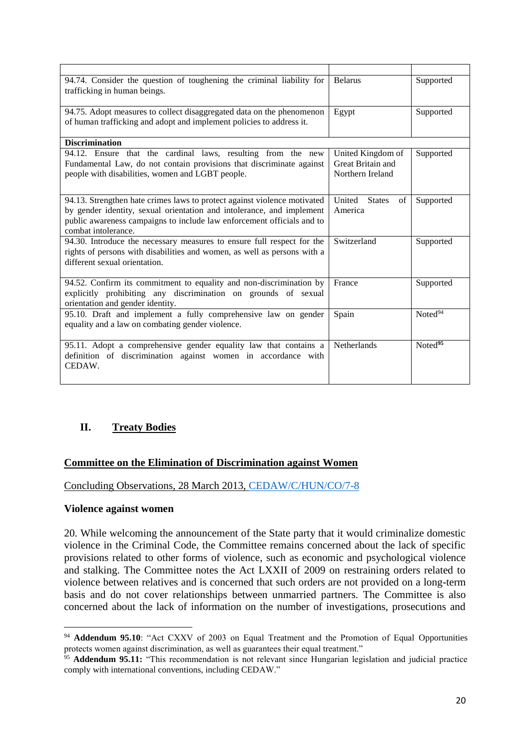| 94.74. Consider the question of toughening the criminal liability for<br>trafficking in human beings.                                                                                                                                              | <b>Belarus</b>                                             | Supported           |
|----------------------------------------------------------------------------------------------------------------------------------------------------------------------------------------------------------------------------------------------------|------------------------------------------------------------|---------------------|
| 94.75. Adopt measures to collect disaggregated data on the phenomenon<br>of human trafficking and adopt and implement policies to address it.                                                                                                      | Egypt                                                      | Supported           |
| <b>Discrimination</b>                                                                                                                                                                                                                              |                                                            |                     |
| 94.12. Ensure that the cardinal laws, resulting from the new<br>Fundamental Law, do not contain provisions that discriminate against<br>people with disabilities, women and LGBT people.                                                           | United Kingdom of<br>Great Britain and<br>Northern Ireland | Supported           |
| 94.13. Strengthen hate crimes laws to protect against violence motivated<br>by gender identity, sexual orientation and intolerance, and implement<br>public awareness campaigns to include law enforcement officials and to<br>combat intolerance. | United<br><b>States</b><br>of<br>America                   | Supported           |
| 94.30. Introduce the necessary measures to ensure full respect for the<br>rights of persons with disabilities and women, as well as persons with a<br>different sexual orientation.                                                                | Switzerland                                                | Supported           |
| 94.52. Confirm its commitment to equality and non-discrimination by<br>explicitly prohibiting any discrimination on grounds of sexual<br>orientation and gender identity.                                                                          | France                                                     | Supported           |
| 95.10. Draft and implement a fully comprehensive law on gender<br>equality and a law on combating gender violence.                                                                                                                                 | Spain                                                      | Noted <sup>94</sup> |
| 95.11. Adopt a comprehensive gender equality law that contains a<br>definition of discrimination against women in accordance with<br>CEDAW.                                                                                                        | <b>Netherlands</b>                                         | Noted <sup>95</sup> |

# **II. Treaty Bodies**

### **Committee on the Elimination of Discrimination against Women**

Concluding Observations, 28 March 2013, [CEDAW/C/HUN/CO/7-8](http://tbinternet.ohchr.org/_layouts/treatybodyexternal/Download.aspx?symbolno=CEDAW%2fC%2fHUN%2fCO%2f7-8&Lang=en)

### **Violence against women**

**.** 

20. While welcoming the announcement of the State party that it would criminalize domestic violence in the Criminal Code, the Committee remains concerned about the lack of specific provisions related to other forms of violence, such as economic and psychological violence and stalking. The Committee notes the Act LXXII of 2009 on restraining orders related to violence between relatives and is concerned that such orders are not provided on a long-term basis and do not cover relationships between unmarried partners. The Committee is also concerned about the lack of information on the number of investigations, prosecutions and

<sup>&</sup>lt;sup>94</sup> **Addendum 95.10**: "Act CXXV of 2003 on Equal Treatment and the Promotion of Equal Opportunities protects women against discrimination, as well as guarantees their equal treatment."

<sup>&</sup>lt;sup>95</sup> **Addendum 95.11:** "This recommendation is not relevant since Hungarian legislation and judicial practice comply with international conventions, including CEDAW."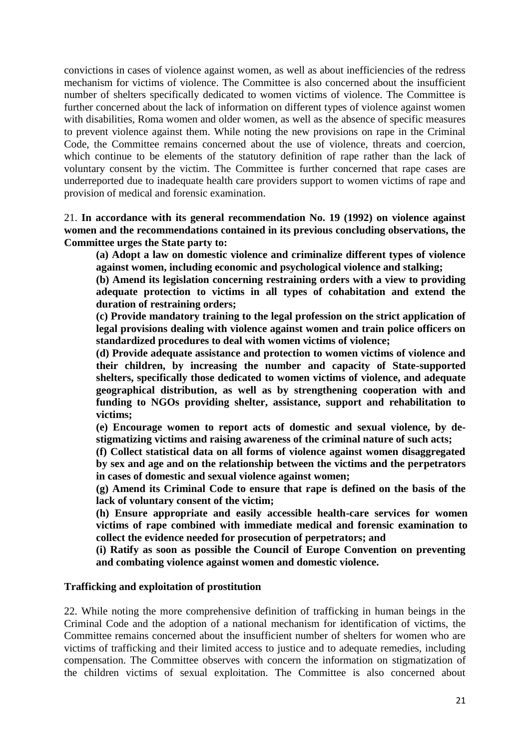convictions in cases of violence against women, as well as about inefficiencies of the redress mechanism for victims of violence. The Committee is also concerned about the insufficient number of shelters specifically dedicated to women victims of violence. The Committee is further concerned about the lack of information on different types of violence against women with disabilities, Roma women and older women, as well as the absence of specific measures to prevent violence against them. While noting the new provisions on rape in the Criminal Code, the Committee remains concerned about the use of violence, threats and coercion, which continue to be elements of the statutory definition of rape rather than the lack of voluntary consent by the victim. The Committee is further concerned that rape cases are underreported due to inadequate health care providers support to women victims of rape and provision of medical and forensic examination.

21. **In accordance with its general recommendation No. 19 (1992) on violence against women and the recommendations contained in its previous concluding observations, the Committee urges the State party to:** 

**(a) Adopt a law on domestic violence and criminalize different types of violence against women, including economic and psychological violence and stalking;** 

**(b) Amend its legislation concerning restraining orders with a view to providing adequate protection to victims in all types of cohabitation and extend the duration of restraining orders;** 

**(c) Provide mandatory training to the legal profession on the strict application of legal provisions dealing with violence against women and train police officers on standardized procedures to deal with women victims of violence;** 

**(d) Provide adequate assistance and protection to women victims of violence and their children, by increasing the number and capacity of State-supported shelters, specifically those dedicated to women victims of violence, and adequate geographical distribution, as well as by strengthening cooperation with and funding to NGOs providing shelter, assistance, support and rehabilitation to victims;** 

**(e) Encourage women to report acts of domestic and sexual violence, by destigmatizing victims and raising awareness of the criminal nature of such acts;** 

**(f) Collect statistical data on all forms of violence against women disaggregated by sex and age and on the relationship between the victims and the perpetrators in cases of domestic and sexual violence against women;** 

**(g) Amend its Criminal Code to ensure that rape is defined on the basis of the lack of voluntary consent of the victim;** 

**(h) Ensure appropriate and easily accessible health-care services for women victims of rape combined with immediate medical and forensic examination to collect the evidence needed for prosecution of perpetrators; and**

**(i) Ratify as soon as possible the Council of Europe Convention on preventing and combating violence against women and domestic violence.** 

### **Trafficking and exploitation of prostitution**

22. While noting the more comprehensive definition of trafficking in human beings in the Criminal Code and the adoption of a national mechanism for identification of victims, the Committee remains concerned about the insufficient number of shelters for women who are victims of trafficking and their limited access to justice and to adequate remedies, including compensation. The Committee observes with concern the information on stigmatization of the children victims of sexual exploitation. The Committee is also concerned about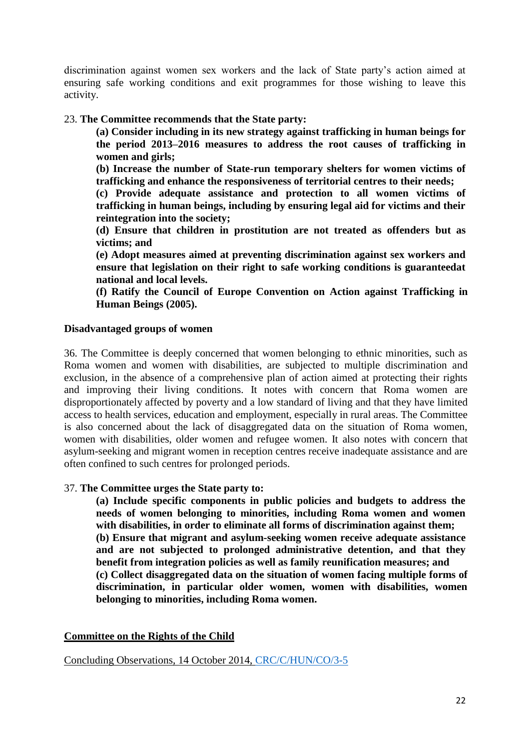discrimination against women sex workers and the lack of State party's action aimed at ensuring safe working conditions and exit programmes for those wishing to leave this activity.

## 23. **The Committee recommends that the State party:**

**(a) Consider including in its new strategy against trafficking in human beings for the period 2013–2016 measures to address the root causes of trafficking in women and girls;**

**(b) Increase the number of State-run temporary shelters for women victims of trafficking and enhance the responsiveness of territorial centres to their needs;** 

**(c) Provide adequate assistance and protection to all women victims of trafficking in human beings, including by ensuring legal aid for victims and their reintegration into the society;** 

**(d) Ensure that children in prostitution are not treated as offenders but as victims; and** 

**(e) Adopt measures aimed at preventing discrimination against sex workers and ensure that legislation on their right to safe working conditions is guaranteedat national and local levels.** 

**(f) Ratify the Council of Europe Convention on Action against Trafficking in Human Beings (2005).**

### **Disadvantaged groups of women**

36. The Committee is deeply concerned that women belonging to ethnic minorities, such as Roma women and women with disabilities, are subjected to multiple discrimination and exclusion, in the absence of a comprehensive plan of action aimed at protecting their rights and improving their living conditions. It notes with concern that Roma women are disproportionately affected by poverty and a low standard of living and that they have limited access to health services, education and employment, especially in rural areas. The Committee is also concerned about the lack of disaggregated data on the situation of Roma women, women with disabilities, older women and refugee women. It also notes with concern that asylum-seeking and migrant women in reception centres receive inadequate assistance and are often confined to such centres for prolonged periods.

### 37. **The Committee urges the State party to:**

**(a) Include specific components in public policies and budgets to address the needs of women belonging to minorities, including Roma women and women with disabilities, in order to eliminate all forms of discrimination against them; (b) Ensure that migrant and asylum-seeking women receive adequate assistance and are not subjected to prolonged administrative detention, and that they benefit from integration policies as well as family reunification measures; and (c) Collect disaggregated data on the situation of women facing multiple forms of discrimination, in particular older women, women with disabilities, women belonging to minorities, including Roma women.**

# **Committee on the Rights of the Child**

Concluding Observations, 14 October 2014, [CRC/C/HUN/CO/3-5](http://docstore.ohchr.org/SelfServices/FilesHandler.ashx?enc=6QkG1d%2fPPRiCAqhKb7yhsnHFwMhaZ6UbkZijXRImgYBUerx14%2fpljDwTZuM1h%2bdsZQ8cUZpbv04sds%2bJj6dXLS%2b0j2Oa%2bqeLHjiq0RMqhWno0UuJ2FfrAAlNgTqz7YrQ)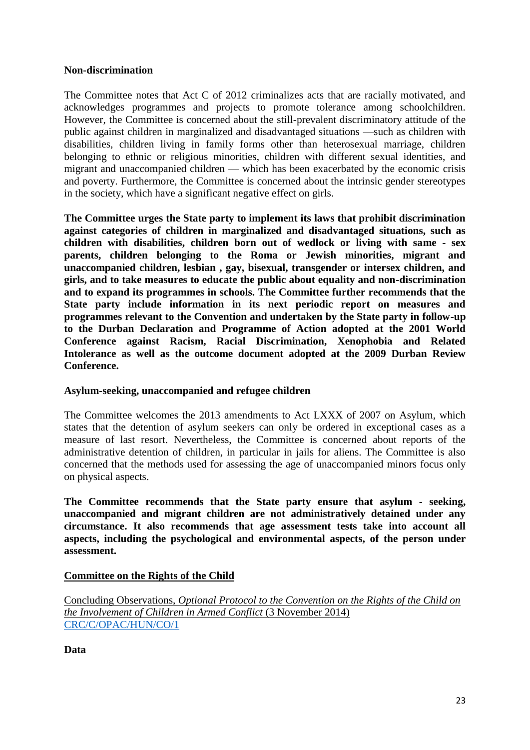### **Non-discrimination**

The Committee notes that Act C of 2012 criminalizes acts that are racially motivated, and acknowledges programmes and projects to promote tolerance among schoolchildren. However, the Committee is concerned about the still-prevalent discriminatory attitude of the public against children in marginalized and disadvantaged situations —such as children with disabilities, children living in family forms other than heterosexual marriage, children belonging to ethnic or religious minorities, children with different sexual identities, and migrant and unaccompanied children — which has been exacerbated by the economic crisis and poverty. Furthermore, the Committee is concerned about the intrinsic gender stereotypes in the society, which have a significant negative effect on girls.

**The Committee urges the State party to implement its laws that prohibit discrimination against categories of children in marginalized and disadvantaged situations, such as children with disabilities, children born out of wedlock or living with same - sex parents, children belonging to the Roma or Jewish minorities, migrant and unaccompanied children, lesbian , gay, bisexual, transgender or intersex children, and girls, and to take measures to educate the public about equality and non-discrimination and to expand its programmes in schools. The Committee further recommends that the State party include information in its next periodic report on measures and programmes relevant to the Convention and undertaken by the State party in follow-up to the Durban Declaration and Programme of Action adopted at the 2001 World Conference against Racism, Racial Discrimination, Xenophobia and Related Intolerance as well as the outcome document adopted at the 2009 Durban Review Conference.**

# **Asylum-seeking, unaccompanied and refugee children**

The Committee welcomes the 2013 amendments to Act LXXX of 2007 on Asylum, which states that the detention of asylum seekers can only be ordered in exceptional cases as a measure of last resort. Nevertheless, the Committee is concerned about reports of the administrative detention of children, in particular in jails for aliens. The Committee is also concerned that the methods used for assessing the age of unaccompanied minors focus only on physical aspects.

**The Committee recommends that the State party ensure that asylum - seeking, unaccompanied and migrant children are not administratively detained under any circumstance. It also recommends that age assessment tests take into account all aspects, including the psychological and environmental aspects, of the person under assessment.**

# **Committee on the Rights of the Child**

Concluding Observations, *Optional Protocol to the Convention on the Rights of the Child on the Involvement of Children in Armed Conflict* (3 November 2014) [CRC/C/OPAC/HUN/CO/1](http://docstore.ohchr.org/SelfServices/FilesHandler.ashx?enc=6QkG1d%2fPPRiCAqhKb7yhsq3bGBgj7nnUgqOo%2fynBtO%2b0AnktL1OElV3Ny5zF%2bZk2oB%2bjzuycFTdaaOkkOYiep28TYE3PD%2bl4VszMFaxLxBEnZ31qgsreh3pG5elIZx27gLJnxYGcuIsQ57iTTLks1A%3d%3d)

**Data**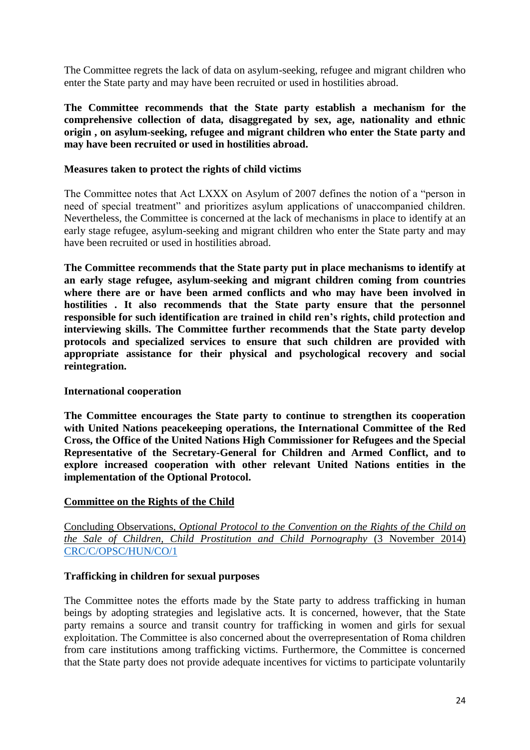The Committee regrets the lack of data on asylum-seeking, refugee and migrant children who enter the State party and may have been recruited or used in hostilities abroad.

**The Committee recommends that the State party establish a mechanism for the comprehensive collection of data, disaggregated by sex, age, nationality and ethnic origin , on asylum-seeking, refugee and migrant children who enter the State party and may have been recruited or used in hostilities abroad.**

### **Measures taken to protect the rights of child victims**

The Committee notes that Act LXXX on Asylum of 2007 defines the notion of a "person in need of special treatment" and prioritizes asylum applications of unaccompanied children. Nevertheless, the Committee is concerned at the lack of mechanisms in place to identify at an early stage refugee, asylum-seeking and migrant children who enter the State party and may have been recruited or used in hostilities abroad.

**The Committee recommends that the State party put in place mechanisms to identify at an early stage refugee, asylum-seeking and migrant children coming from countries where there are or have been armed conflicts and who may have been involved in hostilities . It also recommends that the State party ensure that the personnel responsible for such identification are trained in child ren's rights, child protection and interviewing skills. The Committee further recommends that the State party develop protocols and specialized services to ensure that such children are provided with appropriate assistance for their physical and psychological recovery and social reintegration.**

### **International cooperation**

**The Committee encourages the State party to continue to strengthen its cooperation with United Nations peacekeeping operations, the International Committee of the Red Cross, the Office of the United Nations High Commissioner for Refugees and the Special Representative of the Secretary-General for Children and Armed Conflict, and to explore increased cooperation with other relevant United Nations entities in the implementation of the Optional Protocol.**

# **Committee on the Rights of the Child**

Concluding Observations, *Optional Protocol to the Convention on the Rights of the Child on the Sale of Children, Child Prostitution and Child Pornography* (3 November 2014) [CRC/C/OPSC/HUN/CO/1](http://docstore.ohchr.org/SelfServices/FilesHandler.ashx?enc=6QkG1d%2fPPRiCAqhKb7yhsrHPiif0%2f1kumQo%2bD50%2f9nbZYvXbSWw8o2u5xM6xuARK4MAkU0p9oLAV7otBivHwnaQp%2fOU%2buhIOj1x8lcE7bW9pkAm2t8WFYILbVilOlcwEBTefHnUFPJLjET26eIkK3Q%3d%3d)

# **Trafficking in children for sexual purposes**

The Committee notes the efforts made by the State party to address trafficking in human beings by adopting strategies and legislative acts. It is concerned, however, that the State party remains a source and transit country for trafficking in women and girls for sexual exploitation. The Committee is also concerned about the overrepresentation of Roma children from care institutions among trafficking victims. Furthermore, the Committee is concerned that the State party does not provide adequate incentives for victims to participate voluntarily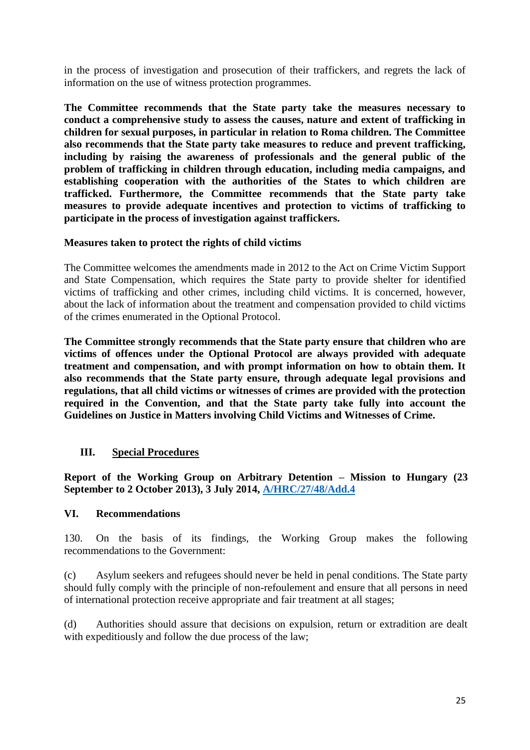in the process of investigation and prosecution of their traffickers, and regrets the lack of information on the use of witness protection programmes.

**The Committee recommends that the State party take the measures necessary to conduct a comprehensive study to assess the causes, nature and extent of trafficking in children for sexual purposes, in particular in relation to Roma children. The Committee also recommends that the State party take measures to reduce and prevent trafficking, including by raising the awareness of professionals and the general public of the problem of trafficking in children through education, including media campaigns, and establishing cooperation with the authorities of the States to which children are trafficked. Furthermore, the Committee recommends that the State party take measures to provide adequate incentives and protection to victims of trafficking to participate in the process of investigation against traffickers.**

## **Measures taken to protect the rights of child victims**

The Committee welcomes the amendments made in 2012 to the Act on Crime Victim Support and State Compensation, which requires the State party to provide shelter for identified victims of trafficking and other crimes, including child victims. It is concerned, however, about the lack of information about the treatment and compensation provided to child victims of the crimes enumerated in the Optional Protocol.

**The Committee strongly recommends that the State party ensure that children who are victims of offences under the Optional Protocol are always provided with adequate treatment and compensation, and with prompt information on how to obtain them. It also recommends that the State party ensure, through adequate legal provisions and regulations, that all child victims or witnesses of crimes are provided with the protection required in the Convention, and that the State party take fully into account the Guidelines on Justice in Matters involving Child Victims and Witnesses of Crime.**

# **III. Special Procedures**

**Report of the Working Group on Arbitrary Detention – Mission to Hungary (23 September to 2 October 2013), 3 July 2014, [A/HRC/27/48/Add.4](http://www.ohchr.org/EN/countries/ENACARegion/Pages/HUIndex.aspx)**

### **VI. Recommendations**

130. On the basis of its findings, the Working Group makes the following recommendations to the Government:

(c) Asylum seekers and refugees should never be held in penal conditions. The State party should fully comply with the principle of non-refoulement and ensure that all persons in need of international protection receive appropriate and fair treatment at all stages;

(d) Authorities should assure that decisions on expulsion, return or extradition are dealt with expeditiously and follow the due process of the law;